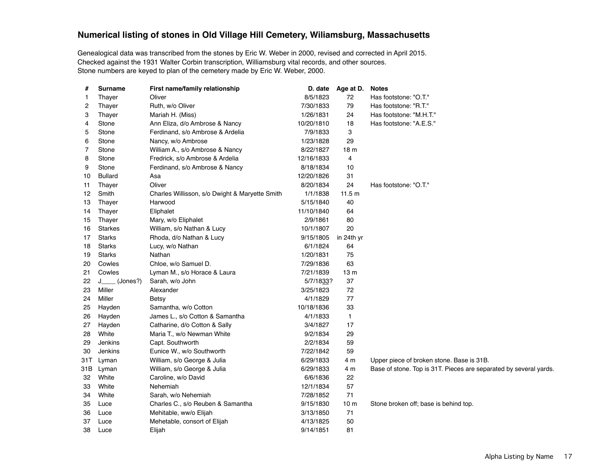## **Numerical listing of stones in Old Village Hill Cemetery, Wiliamsburg, Massachusetts**

Genealogical data was transcribed from the stones by Eric W. Weber in 2000, revised and corrected in April 2015. Checked against the 1931 Walter Corbin transcription, Williamsburg vital records, and other sources. Stone numbers are keyed to plan of the cemetery made by Eric W. Weber, 2000.

| #   | <b>Surname</b> | First name/family relationship                 | D. date    | Age at D.       | <b>Notes</b>                                                      |
|-----|----------------|------------------------------------------------|------------|-----------------|-------------------------------------------------------------------|
| 1   | Thayer         | Oliver                                         | 8/5/1823   | 72              | Has footstone: "O.T."                                             |
| 2   | Thayer         | Ruth, w/o Oliver                               | 7/30/1833  | 79              | Has footstone: "R.T."                                             |
| 3   | Thayer         | Mariah H. (Miss)                               | 1/26/1831  | 24              | Has footstone: "M.H.T."                                           |
| 4   | Stone          | Ann Eliza, d/o Ambrose & Nancy                 | 10/20/1810 | 18              | Has footstone: "A.E.S."                                           |
| 5   | Stone          | Ferdinand, s/o Ambrose & Ardelia               | 7/9/1833   | 3               |                                                                   |
| 6   | Stone          | Nancy, w/o Ambrose                             | 1/23/1828  | 29              |                                                                   |
| 7   | Stone          | William A., s/o Ambrose & Nancy                | 8/22/1827  | 18 <sub>m</sub> |                                                                   |
| 8   | Stone          | Fredrick, s/o Ambrose & Ardelia                | 12/16/1833 | 4               |                                                                   |
| 9   | Stone          | Ferdinand, s/o Ambrose & Nancy                 | 8/18/1834  | 10              |                                                                   |
| 10  | <b>Bullard</b> | Asa                                            | 12/20/1826 | 31              |                                                                   |
| 11  | Thayer         | Oliver                                         | 8/20/1834  | 24              | Has footstone: "O.T."                                             |
| 12  | Smith          | Charles Willisson, s/o Dwight & Maryette Smith | 1/1/1838   | 11.5 m          |                                                                   |
| 13  | Thayer         | Harwood                                        | 5/15/1840  | 40              |                                                                   |
| 14  | Thayer         | Eliphalet                                      | 11/10/1840 | 64              |                                                                   |
| 15  | Thayer         | Mary, w/o Eliphalet                            | 2/9/1861   | 80              |                                                                   |
| 16  | <b>Starkes</b> | William, s/o Nathan & Lucy                     | 10/1/1807  | 20              |                                                                   |
| 17  | <b>Starks</b>  | Rhoda, d/o Nathan & Lucy                       | 9/15/1805  | in 24th yr      |                                                                   |
| 18  | <b>Starks</b>  | Lucy, w/o Nathan                               | 6/1/1824   | 64              |                                                                   |
| 19  | <b>Starks</b>  | Nathan                                         | 1/20/1831  | 75              |                                                                   |
| 20  | Cowles         | Chloe, w/o Samuel D.                           | 7/29/1836  | 63              |                                                                   |
| 21  | Cowles         | Lyman M., s/o Horace & Laura                   | 7/21/1839  | 13 <sub>m</sub> |                                                                   |
| 22  | J____ (Jones?) | Sarah, w/o John                                | 5/7/1833?  | 37              |                                                                   |
| 23  | Miller         | Alexander                                      | 3/25/1823  | 72              |                                                                   |
| 24  | Miller         | Betsy                                          | 4/1/1829   | 77              |                                                                   |
| 25  | Hayden         | Samantha, w/o Cotton                           | 10/18/1836 | 33              |                                                                   |
| 26  | Hayden         | James L., s/o Cotton & Samantha                | 4/1/1833   | $\mathbf{1}$    |                                                                   |
| 27  | Hayden         | Catharine, d/o Cotton & Sally                  | 3/4/1827   | 17              |                                                                   |
| 28  | White          | Maria T., w/o Newman White                     | 9/2/1834   | 29              |                                                                   |
| 29  | Jenkins        | Capt. Southworth                               | 2/2/1834   | 59              |                                                                   |
| 30  | Jenkins        | Eunice W., w/o Southworth                      | 7/22/1842  | 59              |                                                                   |
| 31T | Lyman          | William, s/o George & Julia                    | 6/29/1833  | 4 m             | Upper piece of broken stone. Base is 31B.                         |
| 31B | Lyman          | William, s/o George & Julia                    | 6/29/1833  | 4 m             | Base of stone. Top is 31T. Pieces are separated by several yards. |
| 32  | White          | Caroline, w/o David                            | 6/6/1836   | 22              |                                                                   |
| 33  | White          | Nehemiah                                       | 12/1/1834  | 57              |                                                                   |
| 34  | White          | Sarah, w/o Nehemiah                            | 7/28/1852  | 71              |                                                                   |
| 35  | Luce           | Charles C., s/o Reuben & Samantha              | 9/15/1830  | 10 <sub>m</sub> | Stone broken off; base is behind top.                             |
| 36  | Luce           | Mehitable, ww/o Elijah                         | 3/13/1850  | 71              |                                                                   |
| 37  | Luce           | Mehetable, consort of Elijah                   | 4/13/1825  | 50              |                                                                   |
| 38  | Luce           | Elijah                                         | 9/14/1851  | 81              |                                                                   |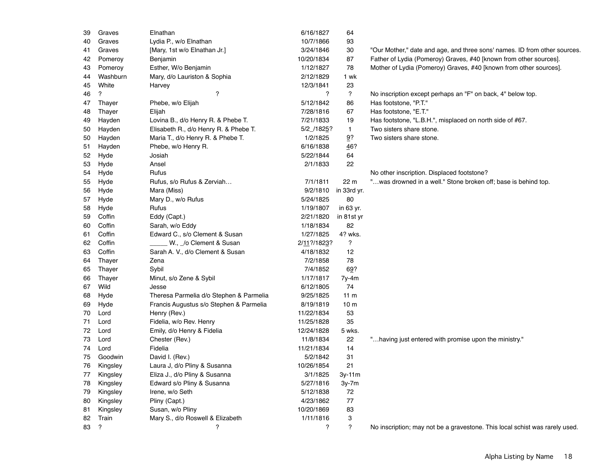| 39 | Graves                   | Elnathan                                | 6/16/1827   | 64                        |                                                                             |
|----|--------------------------|-----------------------------------------|-------------|---------------------------|-----------------------------------------------------------------------------|
| 40 | Graves                   | Lydia P., w/o Elnathan                  | 10/7/1866   | 93                        |                                                                             |
| 41 | Graves                   | [Mary, 1st w/o Elnathan Jr.]            | 3/24/1846   | 30                        | "Our Mother," date and age, and three sons' names. ID from other sources.   |
| 42 | Pomeroy                  | Benjamin                                | 10/20/1834  | 87                        | Father of Lydia (Pomeroy) Graves, #40 [known from other sources].           |
| 43 | Pomeroy                  | Esther, W/o Benjamin                    | 1/12/1827   | 78                        | Mother of Lydia (Pomeroy) Graves, #40 [known from other sources].           |
| 44 | Washburn                 | Mary, d/o Lauriston & Sophia            | 2/12/1829   | 1 wk                      |                                                                             |
| 45 | White                    | Harvey                                  | 12/3/1841   | 23                        |                                                                             |
| 46 | $\overline{\mathcal{E}}$ | $\overline{\phantom{a}}$                | ?           | $\overline{\mathcal{C}}$  | No inscription except perhaps an "F" on back, 4" below top.                 |
| 47 | Thayer                   | Phebe, w/o Elijah                       | 5/12/1842   | 86                        | Has footstone, "P.T."                                                       |
| 48 | Thayer                   | Elijah                                  | 7/28/1816   | 67                        | Has footstone, "E.T."                                                       |
| 49 | Hayden                   | Lovina B., d/o Henry R. & Phebe T.      | 7/21/1833   | 19                        | Has footstone, "L.B.H.", misplaced on north side of #67.                    |
| 50 | Hayden                   | Elisabeth R., d/o Henry R. & Phebe T.   | 5/2 /1825?  | $\mathbf{1}$              | Two sisters share stone.                                                    |
| 50 | Hayden                   | Maria T., d/o Henry R. & Phebe T.       | 1/2/1825    | $9$ ?                     | Two sisters share stone.                                                    |
| 51 | Hayden                   | Phebe, w/o Henry R.                     | 6/16/1838   | 46?                       |                                                                             |
| 52 | Hyde                     | Josiah                                  | 5/22/1844   | 64                        |                                                                             |
| 53 | Hyde                     | Ansel                                   | 2/1/1833    | 22                        |                                                                             |
| 54 | Hyde                     | Rufus                                   |             |                           | No other inscription. Displaced footstone?                                  |
| 55 | Hyde                     | Rufus, s/o Rufus & Zerviah              | 7/1/1811    | 22 m                      | "was drowned in a well." Stone broken off; base is behind top.              |
| 56 | Hyde                     | Mara (Miss)                             | 9/2/1810    | in 33rd yr.               |                                                                             |
| 57 | Hyde                     | Mary D., w/o Rufus                      | 5/24/1825   | 80                        |                                                                             |
| 58 | Hyde                     | Rufus                                   | 1/19/1807   | in 63 yr.                 |                                                                             |
| 59 | Coffin                   | Eddy (Capt.)                            | 2/21/1820   | in 81st yr                |                                                                             |
| 60 | Coffin                   | Sarah, w/o Eddy                         | 1/18/1834   | 82                        |                                                                             |
| 61 | Coffin                   | Edward C., s/o Clement & Susan          | 1/27/1825   | 4? wks.                   |                                                                             |
| 62 | Coffin                   | W., _/o Clement & Susan                 | 2/11?/1823? | ?                         |                                                                             |
| 63 | Coffin                   | Sarah A. V., d/o Clement & Susan        | 4/18/1832   | 12                        |                                                                             |
| 64 | Thayer                   | Zena                                    | 7/2/1858    | 78                        |                                                                             |
| 65 | Thayer                   | Sybil                                   | 7/4/1852    | 69?                       |                                                                             |
| 66 | Thayer                   | Minut, s/o Zene & Sybil                 | 1/17/1817   | 7y-4m                     |                                                                             |
| 67 | Wild                     | Jesse                                   | 6/12/1805   | 74                        |                                                                             |
| 68 | Hyde                     | Theresa Parmelia d/o Stephen & Parmelia | 9/25/1825   | 11 <sub>m</sub>           |                                                                             |
| 69 | Hyde                     | Francis Augustus s/o Stephen & Parmelia | 8/19/1819   | 10 <sub>m</sub>           |                                                                             |
| 70 | Lord                     | Henry (Rev.)                            | 11/22/1834  | 53                        |                                                                             |
| 71 | Lord                     | Fidelia, w/o Rev. Henry                 | 11/25/1828  | 35                        |                                                                             |
| 72 | Lord                     | Emily, d/o Henry & Fidelia              | 12/24/1828  | 5 wks.                    |                                                                             |
| 73 | Lord                     | Chester (Rev.)                          | 11/8/1834   | 22                        | "having just entered with promise upon the ministry."                       |
| 74 | Lord                     | Fidelia                                 | 11/21/1834  | 14                        |                                                                             |
| 75 | Goodwin                  | David I. (Rev.)                         | 5/2/1842    | 31                        |                                                                             |
| 76 | Kingsley                 | Laura J, d/o Pliny & Susanna            | 10/26/1854  | 21                        |                                                                             |
| 77 | Kingsley                 | Eliza J., d/o Pliny & Susanna           | 3/1/1825    | $3y-11m$                  |                                                                             |
| 78 | Kingsley                 | Edward s/o Pliny & Susanna              | 5/27/1816   | 3y-7m                     |                                                                             |
| 79 | Kingsley                 | Irene, w/o Seth                         | 5/12/1838   | 72                        |                                                                             |
| 80 | Kingsley                 | Pliny (Capt.)                           | 4/23/1862   | 77                        |                                                                             |
| 81 | Kingsley                 | Susan, w/o Pliny                        | 10/20/1869  | 83                        |                                                                             |
| 82 | Train                    | Mary S., d/o Roswell & Elizabeth        | 1/11/1816   | $\ensuremath{\mathsf{3}}$ |                                                                             |
| 83 | $\gamma$                 | $\gamma$                                | ?           | $\overline{?}$            | No inscription; may not be a gravestone. This local schist was rarely used. |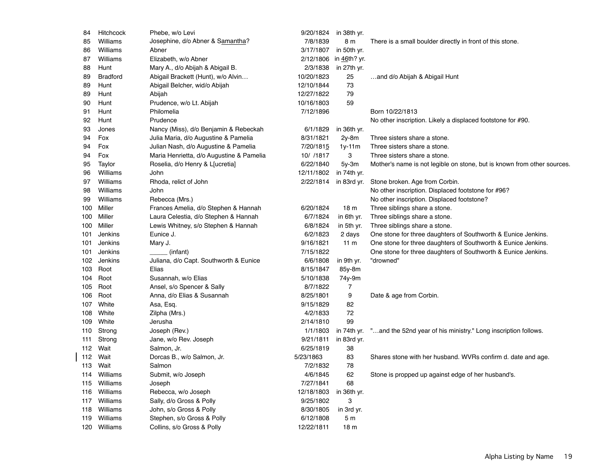| 84  | Hitchcock       | Phebe, w/o Levi                          | 9/20/1824  | in 38th yr.     |                                                                            |
|-----|-----------------|------------------------------------------|------------|-----------------|----------------------------------------------------------------------------|
| 85  | Williams        | Josephine, d/o Abner & Samantha?         | 7/8/1839   | 8 m             | There is a small boulder directly in front of this stone.                  |
| 86  | Williams        | Abner                                    | 3/17/1807  | in 50th yr.     |                                                                            |
| 87  | Williams        | Elizabeth, w/o Abner                     | 2/12/1806  | in 46th? yr.    |                                                                            |
| 88  | Hunt            | Mary A., d/o Abijah & Abigail B.         | 2/3/1838   | in 27th yr.     |                                                                            |
| 89  | <b>Bradford</b> | Abigail Brackett (Hunt), w/o Alvin       | 10/20/1823 | 25              | and d/o Abijah & Abigail Hunt                                              |
| 89  | Hunt            | Abigail Belcher, wid/o Abijah            | 12/10/1844 | 73              |                                                                            |
| 89  | Hunt            | Abijah                                   | 12/27/1822 | 79              |                                                                            |
| 90  | Hunt            | Prudence, w/o Lt. Abijah                 | 10/16/1803 | 59              |                                                                            |
| 91  | Hunt            | Philomelia                               | 7/12/1896  |                 | Born 10/22/1813                                                            |
| 92  | Hunt            | Prudence                                 |            |                 | No other inscription. Likely a displaced footstone for #90.                |
| 93  | Jones           | Nancy (Miss), d/o Benjamin & Rebeckah    | 6/1/1829   | in 36th yr.     |                                                                            |
| 94  | Fox             | Julia Maria, d/o Augustine & Pamelia     | 8/31/1821  | $2y-8m$         | Three sisters share a stone.                                               |
| 94  | Fox             | Julian Nash, d/o Augustine & Pamelia     | 7/20/1815  | $1y-11m$        | Three sisters share a stone.                                               |
| 94  | Fox             | Maria Henrietta, d/o Augustine & Pamelia | 10/ /1817  | 3               | Three sisters share a stone.                                               |
| 95  | Taylor          | Roselia, d/o Henry & L[ucretia]          | 6/22/1840  | $5y-3m$         | Mother's name is not legible on stone, but is known from other sources.    |
| 96  | Williams        | John                                     | 12/11/1802 | in 74th yr.     |                                                                            |
| 97  | Williams        | Rhoda, relict of John                    | 2/22/1814  | in 83rd yr.     | Stone broken. Age from Corbin.                                             |
| 98  | Williams        | John                                     |            |                 | No other inscription. Displaced footstone for #96?                         |
| 99  | Williams        | Rebecca (Mrs.)                           |            |                 | No other inscription. Displaced footstone?                                 |
| 100 | Miller          | Frances Amelia, d/o Stephen & Hannah     | 6/20/1824  | 18 <sub>m</sub> | Three siblings share a stone.                                              |
| 100 | Miller          | Laura Celestia, d/o Stephen & Hannah     | 6/7/1824   | in 6th yr.      | Three siblings share a stone.                                              |
| 100 | Miller          | Lewis Whitney, s/o Stephen & Hannah      | 6/8/1824   | in 5th yr.      | Three siblings share a stone.                                              |
| 101 | Jenkins         | Eunice J.                                | 6/2/1823   | 2 days          | One stone for three daughters of Southworth & Eunice Jenkins.              |
| 101 | Jenkins         | Mary J.                                  | 9/16/1821  | 11 <sub>m</sub> | One stone for three daughters of Southworth & Eunice Jenkins.              |
| 101 | Jenkins         | (infant)                                 | 7/15/1822  |                 | One stone for three daughters of Southworth & Eunice Jenkins.              |
| 102 | Jenkins         | Juliana, d/o Capt. Southworth & Eunice   | 6/6/1808   | in 9th yr.      | "drowned"                                                                  |
| 103 | Root            | Elias                                    | 8/15/1847  | $85y-8m$        |                                                                            |
| 104 | Root            | Susannah, w/o Elias                      | 5/10/1838  | 74y-9m          |                                                                            |
| 105 | Root            | Ansel, s/o Spencer & Sally               | 8/7/1822   | $\overline{7}$  |                                                                            |
| 106 | Root            | Anna, d/o Elias & Susannah               | 8/25/1801  | 9               | Date & age from Corbin.                                                    |
| 107 | White           | Asa, Esq.                                | 9/15/1829  | 82              |                                                                            |
| 108 | White           | Zilpha (Mrs.)                            | 4/2/1833   | 72              |                                                                            |
| 109 | White           | Jerusha                                  | 2/14/1810  | 99              |                                                                            |
| 110 | Strong          | Joseph (Rev.)                            | 1/1/1803   |                 | in 74th yr. "and the 52nd year of his ministry." Long inscription follows. |
| 111 | Strong          | Jane, w/o Rev. Joseph                    | 9/21/1811  | in 83rd yr.     |                                                                            |
| 112 | Wait            | Salmon, Jr.                              | 6/25/1819  | 38              |                                                                            |
| 112 | Wait            | Dorcas B., w/o Salmon, Jr.               | 5/23/1863  | 83              | Shares stone with her husband. WVRs confirm d. date and age.               |
| 113 | Wait            | Salmon                                   | 7/2/1832   | 78              |                                                                            |
| 114 | Williams        | Submit, w/o Joseph                       | 4/6/1845   | 62              | Stone is propped up against edge of her husband's.                         |
| 115 | Williams        | Joseph                                   | 7/27/1841  | 68              |                                                                            |
| 116 | Williams        | Rebecca, w/o Joseph                      | 12/18/1803 | in 36th yr.     |                                                                            |
| 117 | Williams        | Sally, d/o Gross & Polly                 | 9/25/1802  | 3               |                                                                            |
| 118 | Williams        | John, s/o Gross & Polly                  | 8/30/1805  | in 3rd yr.      |                                                                            |
| 119 | Williams        | Stephen, s/o Gross & Polly               | 6/12/1808  | 5 <sub>m</sub>  |                                                                            |
|     | 120 Williams    | Collins, s/o Gross & Polly               | 12/22/1811 | 18 <sub>m</sub> |                                                                            |
|     |                 |                                          |            |                 |                                                                            |

 $\overline{\phantom{a}}$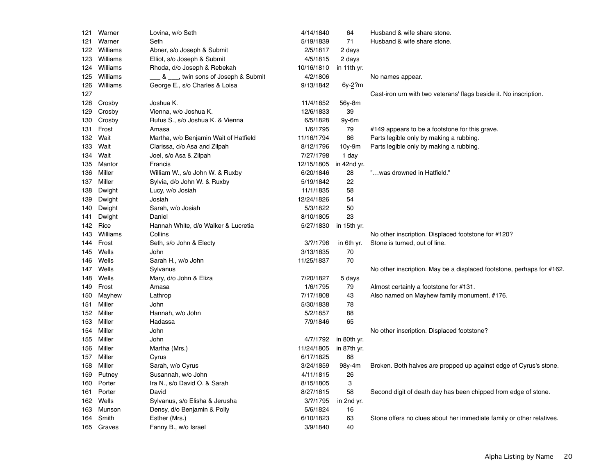| 121 | Warner     | Lovina, w/o Seth                        | 4/14/1840  | 64              | Husband & wife share stone.                                           |
|-----|------------|-----------------------------------------|------------|-----------------|-----------------------------------------------------------------------|
| 121 | Warner     | Seth                                    | 5/19/1839  | 71              | Husband & wife share stone.                                           |
| 122 | Williams   | Abner, s/o Joseph & Submit              | 2/5/1817   | 2 days          |                                                                       |
| 123 | Williams   | Elliot, s/o Joseph & Submit             | 4/5/1815   | 2 days          |                                                                       |
| 124 | Williams   | Rhoda, d/o Joseph & Rebekah             | 10/16/1810 | in 11th yr.     |                                                                       |
| 125 | Williams   | ___ & ___, twin sons of Joseph & Submit | 4/2/1806   |                 | No names appear.                                                      |
| 126 | Williams   | George E., s/o Charles & Loisa          | 9/13/1842  | 6y- <u>2</u> ?m |                                                                       |
| 127 |            |                                         |            |                 | Cast-iron urn with two veterans' flags beside it. No inscription.     |
| 128 | Crosby     | Joshua K.                               | 11/4/1852  | 56y-8m          |                                                                       |
| 129 | Crosby     | Vienna, w/o Joshua K.                   | 12/6/1833  | 39              |                                                                       |
| 130 | Crosby     | Rufus S., s/o Joshua K. & Vienna        | 6/5/1828   | $9y-6m$         |                                                                       |
| 131 | Frost      | Amasa                                   | 1/6/1795   | 79              | #149 appears to be a footstone for this grave.                        |
| 132 | Wait       | Martha, w/o Benjamin Wait of Hatfield   | 11/16/1794 | 86              | Parts legible only by making a rubbing.                               |
| 133 | Wait       | Clarissa, d/o Asa and Zilpah            | 8/12/1796  | $10y-9m$        | Parts legible only by making a rubbing.                               |
| 134 | Wait       | Joel, s/o Asa & Zilpah                  | 7/27/1798  | 1 day           |                                                                       |
| 135 | Mantor     | Francis                                 | 12/15/1805 | in 42nd yr.     |                                                                       |
| 136 | Miller     | William W., s/o John W. & Ruxby         | 6/20/1846  | 28              | "was drowned in Hatfield."                                            |
| 137 | Miller     | Sylvia, d/o John W. & Ruxby             | 5/19/1842  | 22              |                                                                       |
| 138 | Dwight     | Lucy, w/o Josiah                        | 11/1/1835  | 58              |                                                                       |
| 139 | Dwight     | Josiah                                  | 12/24/1826 | 54              |                                                                       |
| 140 | Dwight     | Sarah, w/o Josiah                       | 5/3/1822   | 50              |                                                                       |
| 141 | Dwight     | Daniel                                  | 8/10/1805  | 23              |                                                                       |
| 142 | Rice       | Hannah White, d/o Walker & Lucretia     | 5/27/1830  | in 15th yr.     |                                                                       |
| 143 | Williams   | Collins                                 |            |                 | No other inscription. Displaced footstone for #120?                   |
| 144 | Frost      | Seth, s/o John & Electy                 | 3/?/1796   | in 6th yr.      | Stone is turned, out of line.                                         |
| 145 | Wells      | John                                    | 3/13/1835  | 70              |                                                                       |
| 146 | Wells      | Sarah H., w/o John                      | 11/25/1837 | 70              |                                                                       |
| 147 | Wells      | Sylvanus                                |            |                 | No other inscription. May be a displaced footstone, perhaps for #162. |
| 148 | Wells      | Mary, d/o John & Eliza                  | 7/20/1827  | 5 days          |                                                                       |
| 149 | Frost      | Amasa                                   | 1/6/1795   | 79              | Almost certainly a footstone for #131.                                |
| 150 | Mayhew     | Lathrop                                 | 7/17/1808  | 43              | Also named on Mayhew family monument, #176.                           |
| 151 | Miller     | John                                    | 5/30/1838  | 78              |                                                                       |
| 152 | Miller     | Hannah, w/o John                        | 5/2/1857   | 88              |                                                                       |
| 153 | Miller     | Hadassa                                 | 7/9/1846   | 65              |                                                                       |
| 154 | Miller     | John                                    |            |                 | No other inscription. Displaced footstone?                            |
| 155 | Miller     | John                                    | 4/7/1792   | in 80th yr.     |                                                                       |
| 156 | Miller     | Martha (Mrs.)                           | 11/24/1805 | in 87th yr.     |                                                                       |
| 157 | Miller     | Cyrus                                   | 6/17/1825  | 68              |                                                                       |
| 158 | Miller     | Sarah, w/o Cyrus                        | 3/24/1859  | 98y-4m          | Broken. Both halves are propped up against edge of Cyrus's stone.     |
| 159 | Putney     | Susannah, w/o John                      | 4/11/1815  | 26              |                                                                       |
| 160 | Porter     | Ira N., s/o David O. & Sarah            | 8/15/1805  | 3               |                                                                       |
| 161 | Porter     | David                                   | 8/27/1815  | 58              | Second digit of death day has been chipped from edge of stone.        |
| 162 | Wells      | Sylvanus, s/o Elisha & Jerusha          | 3/?/1795   | in 2nd yr.      |                                                                       |
| 163 | Munson     | Densy, d/o Benjamin & Polly             | 5/6/1824   | 16              |                                                                       |
| 164 | Smith      | Esther (Mrs.)                           | 6/10/1823  | 63              | Stone offers no clues about her immediate family or other relatives.  |
|     | 165 Graves | Fanny B., w/o Israel                    | 3/9/1840   | 40              |                                                                       |
|     |            |                                         |            |                 |                                                                       |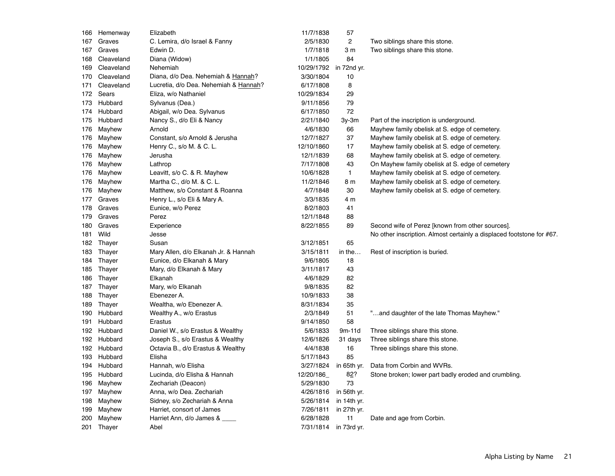|     | 166 Hemenway | Elizabeth                             | 11/7/1838  | 57           |                                                                       |
|-----|--------------|---------------------------------------|------------|--------------|-----------------------------------------------------------------------|
| 167 | Graves       | C. Lemira, d/o Israel & Fanny         | 2/5/1830   | 2            | Two siblings share this stone.                                        |
| 167 | Graves       | Edwin D.                              | 1/7/1818   | 3 m          | Two siblings share this stone.                                        |
| 168 | Cleaveland   | Diana (Widow)                         | 1/1/1805   | 84           |                                                                       |
| 169 | Cleaveland   | Nehemiah                              | 10/29/1792 | in 72nd yr.  |                                                                       |
| 170 | Cleaveland   | Diana, d/o Dea. Nehemiah & Hannah?    | 3/30/1804  | 10           |                                                                       |
| 171 | Cleaveland   | Lucretia, d/o Dea. Nehemiah & Hannah? | 6/17/1808  | 8            |                                                                       |
| 172 | Sears        | Eliza, w/o Nathaniel                  | 10/29/1834 | 29           |                                                                       |
| 173 | Hubbard      | Sylvanus (Dea.)                       | 9/11/1856  | 79           |                                                                       |
| 174 | Hubbard      | Abigail, w/o Dea. Sylvanus            | 6/17/1850  | 72           |                                                                       |
| 175 | Hubbard      | Nancy S., d/o Eli & Nancy             | 2/21/1840  | $3y-3m$      | Part of the inscription is underground.                               |
| 176 | Mayhew       | Arnold                                | 4/6/1830   | 66           | Mayhew family obelisk at S. edge of cemetery.                         |
| 176 | Mayhew       | Constant, s/o Arnold & Jerusha        | 12/7/1827  | 37           | Mayhew family obelisk at S. edge of cemetery.                         |
| 176 | Mayhew       | Henry C., s/o M. & C. L.              | 12/10/1860 | 17           | Mayhew family obelisk at S. edge of cemetery.                         |
| 176 | Mayhew       | Jerusha                               | 12/1/1839  | 68           | Mayhew family obelisk at S. edge of cemetery.                         |
| 176 | Mayhew       | Lathrop                               | 7/17/1808  | 43           | On Mayhew family obelisk at S. edge of cemetery                       |
| 176 | Mayhew       | Leavitt, s/o C. & R. Mayhew           | 10/6/1828  | $\mathbf{1}$ | Mayhew family obelisk at S. edge of cemetery.                         |
| 176 | Mayhew       | Martha C., d/o M. & C. L.             | 11/2/1846  | 8 m          | Mayhew family obelisk at S. edge of cemetery.                         |
| 176 | Mayhew       | Matthew, s/o Constant & Roanna        | 4/7/1848   | 30           | Mayhew family obelisk at S. edge of cemetery.                         |
| 177 | Graves       | Henry L., s/o Eli & Mary A.           | 3/3/1835   | 4 m          |                                                                       |
| 178 | Graves       | Eunice, w/o Perez                     | 8/2/1803   | 41           |                                                                       |
| 179 | Graves       | Perez                                 | 12/1/1848  | 88           |                                                                       |
| 180 | Graves       | Experience                            | 8/22/1855  | 89           | Second wife of Perez [known from other sources].                      |
| 181 | Wild         | Jesse                                 |            |              | No other inscription. Almost certainly a displaced footstone for #67. |
| 182 | Thayer       | Susan                                 | 3/12/1851  | 65           |                                                                       |
| 183 | Thayer       | Mary Allen, d/o Elkanah Jr. & Hannah  | 3/15/1811  | in the       | Rest of inscription is buried.                                        |
| 184 | Thayer       | Eunice, d/o Elkanah & Mary            | 9/6/1805   | 18           |                                                                       |
| 185 | Thayer       | Mary, d/o Elkanah & Mary              | 3/11/1817  | 43           |                                                                       |
| 186 | Thayer       | Elkanah                               | 4/6/1829   | 82           |                                                                       |
| 187 | Thayer       | Mary, w/o Elkanah                     | 9/8/1835   | 82           |                                                                       |
| 188 | Thayer       | Ebenezer A.                           | 10/9/1833  | 38           |                                                                       |
| 189 | Thayer       | Wealtha, w/o Ebenezer A.              | 8/31/1834  | 35           |                                                                       |
| 190 | Hubbard      | Wealthy A., w/o Erastus               | 2/3/1849   | 51           | "and daughter of the late Thomas Mayhew."                             |
| 191 | Hubbard      | Erastus                               | 9/14/1850  | 58           |                                                                       |
|     | 192 Hubbard  | Daniel W., s/o Erastus & Wealthy      | 5/6/1833   | $9m-11d$     | Three siblings share this stone.                                      |
|     | 192 Hubbard  | Joseph S., s/o Erastus & Wealthy      | 12/6/1826  | 31 days      | Three siblings share this stone.                                      |
|     | 192 Hubbard  | Octavia B., d/o Erastus & Wealthy     | 4/4/1838   | 16           | Three siblings share this stone.                                      |
| 193 | Hubbard      | Elisha                                | 5/17/1843  | 85           |                                                                       |
| 194 | Hubbard      | Hannah, w/o Elisha                    | 3/27/1824  | in 65th yr.  | Data from Corbin and WVRs.                                            |
| 195 | Hubbard      | Lucinda, d/o Elisha & Hannah          | 12/20/186  | 82?          | Stone broken; lower part badly eroded and crumbling.                  |
| 196 | Mayhew       | Zechariah (Deacon)                    | 5/29/1830  | 73           |                                                                       |
| 197 | Mayhew       | Anna, w/o Dea. Zechariah              | 4/26/1816  | in 56th yr.  |                                                                       |
| 198 | Mayhew       | Sidney, s/o Zechariah & Anna          | 5/26/1814  | in 14th yr.  |                                                                       |
| 199 | Mayhew       | Harriet, consort of James             | 7/26/1811  | in 27th yr.  |                                                                       |
| 200 | Mayhew       | Harriet Ann, d/o James &              | 6/28/1828  | 11           | Date and age from Corbin.                                             |
|     | 201 Thayer   | Abel                                  | 7/31/1814  | in 73rd yr.  |                                                                       |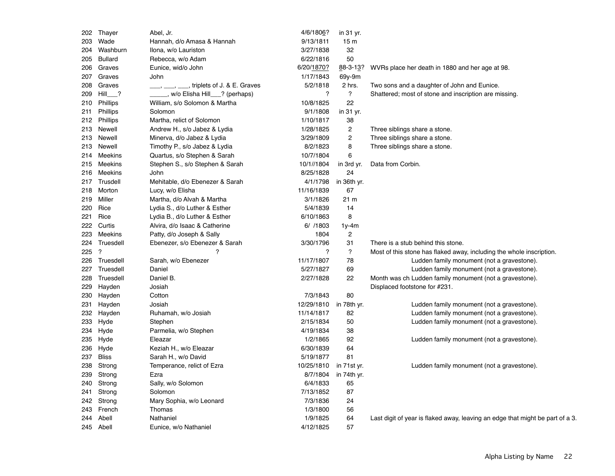| 202 | Thayer                   | Abel, Jr.                       | 4/6/1806?  | in 31 yr.       |                                                                               |
|-----|--------------------------|---------------------------------|------------|-----------------|-------------------------------------------------------------------------------|
| 203 | Wade                     | Hannah, d/o Amasa & Hannah      | 9/13/1811  | 15 <sub>m</sub> |                                                                               |
| 204 | Washburn                 | Ilona, w/o Lauriston            | 3/27/1838  | 32              |                                                                               |
| 205 | <b>Bullard</b>           | Rebecca, w/o Adam               | 6/22/1816  | 50              |                                                                               |
| 206 | Graves                   | Eunice, wid/o John              | 6/20/1870? | 88-3-13?        | WVRs place her death in 1880 and her age at 98.                               |
| 207 | Graves                   | John                            | 1/17/1843  | 69y-9m          |                                                                               |
| 208 | Graves                   | triplets of J. & E. Graves      | 5/2/1818   | 2 hrs.          | Two sons and a daughter of John and Eunice.                                   |
| 209 | Hill ?                   | , w/o Elisha Hill ? (perhaps)   | ?          | $\overline{?}$  | Shattered; most of stone and inscription are missing.                         |
| 210 | <b>Phillips</b>          | William, s/o Solomon & Martha   | 10/8/1825  | 22              |                                                                               |
| 211 | Phillips                 | Solomon                         | 9/1/1808   | in 31 yr.       |                                                                               |
| 212 | Phillips                 | Martha, relict of Solomon       | 1/10/1817  | 38              |                                                                               |
| 213 | Newell                   | Andrew H., s/o Jabez & Lydia    | 1/28/1825  | $\mathbf{2}$    | Three siblings share a stone.                                                 |
| 213 | Newell                   | Minerva, d/o Jabez & Lydia      | 3/29/1809  | $\overline{c}$  | Three siblings share a stone.                                                 |
| 213 | Newell                   | Timothy P., s/o Jabez & Lydia   | 8/2/1823   | 8               | Three siblings share a stone.                                                 |
| 214 | Meekins                  | Quartus, s/o Stephen & Sarah    | 10/7/1804  | 6               |                                                                               |
| 215 | Meekins                  | Stephen S., s/o Stephen & Sarah | 10/1//1804 | in 3rd yr.      | Data from Corbin.                                                             |
| 216 | Meekins                  | John                            | 8/25/1828  | 24              |                                                                               |
| 217 | Trusdell                 | Mehitable, d/o Ebenezer & Sarah | 4/1/1798   | in 36th yr.     |                                                                               |
| 218 | Morton                   | Lucy, w/o Elisha                | 11/16/1839 | 67              |                                                                               |
| 219 | Miller                   | Martha, d/o Alvah & Martha      | 3/1/1826   | 21 m            |                                                                               |
| 220 | Rice                     | Lydia S., d/o Luther & Esther   | 5/4/1839   | 14              |                                                                               |
| 221 | Rice                     | Lydia B., d/o Luther & Esther   | 6/10/1863  | 8               |                                                                               |
| 222 | Curtis                   | Alvira, d/o Isaac & Catherine   | 6/ /1803   | $1y-4m$         |                                                                               |
| 223 | Meekins                  | Patty, d/o Joseph & Sally       | 1804       | $\overline{c}$  |                                                                               |
| 224 | Truesdell                | Ebenezer, s/o Ebenezer & Sarah  | 3/30/1796  | 31              | There is a stub behind this stone.                                            |
| 225 | $\overline{\mathcal{L}}$ | $\overline{?}$                  | ?          | ?               | Most of this stone has flaked away, including the whole inscription.          |
| 226 | Truesdell                | Sarah, w/o Ebenezer             | 11/17/1807 | 78              | Ludden family monument (not a gravestone).                                    |
| 227 | Truesdell                | Daniel                          | 5/27/1827  | 69              | Ludden family monument (not a gravestone).                                    |
| 228 | Truesdell                | Daniel B.                       | 2/27/1828  | 22              | Month was ch Ludden family monument (not a gravestone).                       |
| 229 | Hayden                   | Josiah                          |            |                 | Displaced footstone for #231.                                                 |
| 230 | Hayden                   | Cotton                          | 7/3/1843   | 80              |                                                                               |
| 231 | Hayden                   | Josiah                          | 12/29/1810 | in 78th yr.     | Ludden family monument (not a gravestone).                                    |
| 232 | Hayden                   | Ruhamah, w/o Josiah             | 11/14/1817 | 82              | Ludden family monument (not a gravestone).                                    |
| 233 | Hyde                     | Stephen                         | 2/15/1834  | 50              | Ludden family monument (not a gravestone).                                    |
| 234 | Hyde                     | Parmelia, w/o Stephen           | 4/19/1834  | 38              |                                                                               |
| 235 | Hyde                     | Eleazar                         | 1/2/1865   | 92              | Ludden family monument (not a gravestone).                                    |
| 236 | Hyde                     | Keziah H., w/o Eleazar          | 6/30/1839  | 64              |                                                                               |
| 237 | <b>Bliss</b>             | Sarah H., w/o David             | 5/19/1877  | 81              |                                                                               |
| 238 | Strong                   | Temperance, relict of Ezra      | 10/25/1810 | in 71st yr.     | Ludden family monument (not a gravestone).                                    |
| 239 | Strong                   | Ezra                            | 8/7/1804   | in 74th yr.     |                                                                               |
| 240 | Strong                   | Sally, w/o Solomon              | 6/4/1833   | 65              |                                                                               |
| 241 | Strong                   | Solomon                         | 7/13/1852  | 87              |                                                                               |
| 242 | Strong                   | Mary Sophia, w/o Leonard        | 7/3/1836   | 24              |                                                                               |
| 243 | French                   | Thomas                          | 1/3/1800   | 56              |                                                                               |
| 244 | Abell                    | Nathaniel                       | 1/9/1825   | 64              | Last digit of year is flaked away, leaving an edge that might be part of a 3. |
|     | 245 Abell                | Eunice, w/o Nathaniel           | 4/12/1825  | 57              |                                                                               |
|     |                          |                                 |            |                 |                                                                               |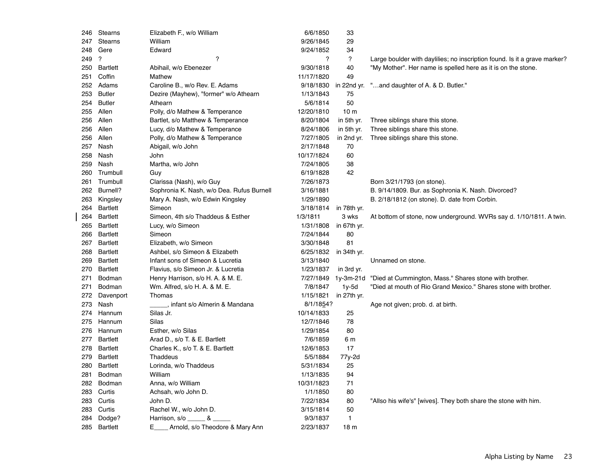| 246 | <b>Stearns</b>       | Elizabeth F., w/o William                 | 6/6/1850              | 33              |                                                                           |
|-----|----------------------|-------------------------------------------|-----------------------|-----------------|---------------------------------------------------------------------------|
| 247 | <b>Stearns</b>       | William                                   | 9/26/1845             | 29              |                                                                           |
| 248 | Gere                 | Edward                                    | 9/24/1852             | 34              |                                                                           |
| 249 | $\boldsymbol{\cdot}$ | ?                                         | ?                     | $\overline{?}$  | Large boulder with daylilies; no inscription found. Is it a grave marker? |
| 250 | <b>Bartlett</b>      | Abihail, w/o Ebenezer                     | 9/30/1818             | 40              | "My Mother". Her name is spelled here as it is on the stone.              |
| 251 | Coffin               | Mathew                                    | 11/17/1820            | 49              |                                                                           |
|     | 252 Adams            | Caroline B., w/o Rev. E. Adams            | 9/18/1830             | in 22nd yr.     | "and daughter of A. & D. Butler."                                         |
| 253 | <b>Butler</b>        | Dezire (Mayhew), "former" w/o Athearn     | 1/13/1843             | 75              |                                                                           |
| 254 | <b>Butler</b>        | Athearn                                   | 5/6/1814              | 50              |                                                                           |
| 255 | Allen                | Polly, d/o Mathew & Temperance            | 12/20/1810            | 10 <sub>m</sub> |                                                                           |
| 256 | Allen                | Bartlet, s/o Matthew & Temperance         | 8/20/1804             | in 5th yr.      | Three siblings share this stone.                                          |
| 256 | Allen                | Lucy, d/o Mathew & Temperance             | 8/24/1806             | in 5th yr.      | Three siblings share this stone.                                          |
|     | 256 Allen            | Polly, d/o Mathew & Temperance            | 7/27/1805             | in 2nd yr.      | Three siblings share this stone.                                          |
| 257 | Nash                 | Abigail, w/o John                         | 2/17/1848             | 70              |                                                                           |
| 258 | Nash                 | John                                      | 10/17/1824            | 60              |                                                                           |
| 259 | Nash                 | Martha, w/o John                          | 7/24/1805             | 38              |                                                                           |
| 260 | Trumbull             | Guy                                       | 6/19/1828             | 42              |                                                                           |
| 261 | Trumbull             | Clarissa (Nash), w/o Guy                  | 7/26/1873             |                 | Born 3/21/1793 (on stone).                                                |
|     | 262 Burnell?         | Sophronia K. Nash, w/o Dea. Rufus Burnell | 3/16/1881             |                 | B. 9/14/1809. Bur. as Sophronia K. Nash. Divorced?                        |
| 263 | Kingsley             | Mary A. Nash, w/o Edwin Kingsley          | 1/29/1890             |                 | B. 2/18/1812 (on stone). D. date from Corbin.                             |
| 264 | <b>Bartlett</b>      | Simeon                                    | 3/18/1814             | in 78th yr.     |                                                                           |
| 264 | Bartlett             | Simeon, 4th s/o Thaddeus & Esther         | 1/3/1811              | 3 wks           | At bottom of stone, now underground. WVRs say d. 1/10/1811. A twin.       |
| 265 | Bartlett             | Lucy, w/o Simeon                          | 1/31/1808             | in 67th yr.     |                                                                           |
| 266 | Bartlett             | Simeon                                    | 7/24/1844             | 80              |                                                                           |
| 267 | Bartlett             | Elizabeth, w/o Simeon                     | 3/30/1848             | 81              |                                                                           |
| 268 | Bartlett             | Ashbel, s/o Simeon & Elizabeth            | 6/25/1832 in 34th yr. |                 |                                                                           |
| 269 | Bartlett             | Infant sons of Simeon & Lucretia          | 3/13/1840             |                 | Unnamed on stone.                                                         |
| 270 | Bartlett             | Flavius, s/o Simeon Jr. & Lucretia        | 1/23/1837             | in 3rd yr.      |                                                                           |
| 271 | Bodman               | Henry Harrison, s/o H. A. & M. E.         | 7/27/1849             | 1y-3m-21d       | "Died at Cummington, Mass." Shares stone with brother.                    |
| 271 | Bodman               | Wm. Alfred, s/o H. A. & M. E.             | 7/8/1847              | $1y-5d$         | "Died at mouth of Rio Grand Mexico." Shares stone with brother.           |
|     | 272 Davenport        | Thomas                                    | 1/15/1821             | in 27th yr.     |                                                                           |
| 273 | Nash                 | infant s/o Almerin & Mandana              | 8/1/1854?             |                 | Age not given; prob. d. at birth.                                         |
| 274 | Hannum               | Silas Jr.                                 | 10/14/1833            | 25              |                                                                           |
| 275 | Hannum               | Silas                                     | 12/7/1846             | 78              |                                                                           |
| 276 | Hannum               | Esther, w/o Silas                         | 1/29/1854             | 80              |                                                                           |
| 277 | Bartlett             | Arad D., s/o T. & E. Bartlett             | 7/6/1859              | 6 m             |                                                                           |
| 278 | Bartlett             | Charles K., s/o T. & E. Bartlett          | 12/6/1853             | 17              |                                                                           |
| 279 | Bartlett             | Thaddeus                                  | 5/5/1884              | 77y-2d          |                                                                           |
| 280 | Bartlett             | Lorinda, w/o Thaddeus                     | 5/31/1834             | 25              |                                                                           |
| 281 | Bodman               | William                                   | 1/13/1835             | 94              |                                                                           |
| 282 | Bodman               | Anna, w/o William                         | 10/31/1823            | 71              |                                                                           |
| 283 | Curtis               | Achsah, w/o John D.                       | 1/1/1850              | 80              |                                                                           |
| 283 | Curtis               | John D.                                   | 7/22/1834             | 80              | "Allso his wife's" [wives]. They both share the stone with him.           |
| 283 | Curtis               | Rachel W., w/o John D.                    | 3/15/1814             | 50              |                                                                           |
| 284 | Dodge?               | Harrison, $s$ /o _____ & _                | 9/3/1837              | $\mathbf{1}$    |                                                                           |
|     | 285 Bartlett         | E.<br>Arnold, s/o Theodore & Mary Ann     | 2/23/1837             | 18 <sub>m</sub> |                                                                           |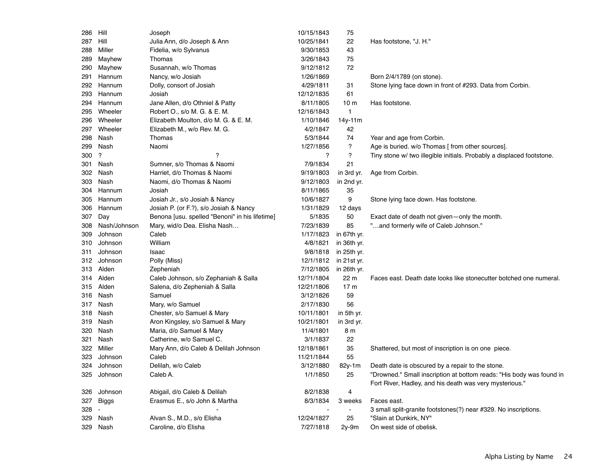| 286 | Hill                 | Joseph                                         | 10/15/1843 | 75              |                                                                       |
|-----|----------------------|------------------------------------------------|------------|-----------------|-----------------------------------------------------------------------|
| 287 | Hill                 | Julia Ann, d/o Joseph & Ann                    | 10/25/1841 | 22              | Has footstone, "J. H."                                                |
| 288 | Miller               | Fidelia, w/o Sylvanus                          | 9/30/1853  | 43              |                                                                       |
| 289 | Mayhew               | Thomas                                         | 3/26/1843  | 75              |                                                                       |
| 290 | Mayhew               | Susannah, w/o Thomas                           | 9/12/1812  | 72              |                                                                       |
| 291 | Hannum               | Nancy, w/o Josiah                              | 1/26/1869  |                 | Born 2/4/1789 (on stone).                                             |
| 292 | Hannum               | Dolly, consort of Josiah                       | 4/29/1811  | 31              | Stone lying face down in front of #293. Data from Corbin.             |
| 293 | Hannum               | Josiah                                         | 12/12/1835 | 61              |                                                                       |
| 294 | Hannum               | Jane Allen, d/o Othniel & Patty                | 8/11/1805  | 10 <sub>m</sub> | Has footstone.                                                        |
| 295 | Wheeler              | Robert O., s/o M. G. & E. M.                   | 12/16/1843 | $\mathbf{1}$    |                                                                       |
| 296 | Wheeler              | Elizabeth Moulton, d/o M. G. & E. M.           | 1/10/1846  | 14y-11m         |                                                                       |
| 297 | Wheeler              | Elizabeth M., w/o Rev. M. G.                   | 4/2/1847   | 42              |                                                                       |
| 298 | Nash                 | Thomas                                         | 5/3/1844   | 74              | Year and age from Corbin.                                             |
| 299 | Nash                 | Naomi                                          | 1/27/1856  | ?               | Age is buried. w/o Thomas [ from other sources].                      |
| 300 | $\boldsymbol{\cdot}$ | ?                                              | ?          | ?               | Tiny stone w/ two illegible initials. Probably a displaced footstone. |
| 301 | Nash                 | Sumner, s/o Thomas & Naomi                     | 7/9/1834   | 21              |                                                                       |
| 302 | Nash                 | Harriet, d/o Thomas & Naomi                    | 9/19/1803  | in 3rd yr.      | Age from Corbin.                                                      |
| 303 | Nash                 | Naomi, d/o Thomas & Naomi                      | 9/12/1803  | in 2nd yr.      |                                                                       |
| 304 | Hannum               | Josiah                                         | 8/11/1865  | 35              |                                                                       |
| 305 | Hannum               | Josiah Jr., s/o Josiah & Nancy                 | 10/6/1827  | 9               | Stone lying face down. Has footstone.                                 |
| 306 | Hannum               | Josiah P. (or F.?), s/o Josiah & Nancy         | 1/31/1829  | 12 days         |                                                                       |
| 307 | Day                  | Benona [usu. spelled "Benoni" in his lifetime] | 5/1835     | 50              | Exact date of death not given-only the month.                         |
| 308 | Nash/Johnson         | Mary, wid/o Dea. Elisha Nash                   | 7/23/1839  | 85              | "and formerly wife of Caleb Johnson."                                 |
| 309 | Johnson              | Caleb                                          | 1/17/1823  | in 67th yr.     |                                                                       |
| 310 | Johnson              | William                                        | 4/8/1821   | in 36th yr.     |                                                                       |
| 311 | Johnson              | Isaac                                          | 9/8/1818   | in 25th yr.     |                                                                       |
| 312 | Johnson              | Polly (Miss)                                   | 12/1/1812  | in 21st yr.     |                                                                       |
| 313 | Alden                | Zepheniah                                      | 7/12/1805  | in 26th yr.     |                                                                       |
| 314 | Alden                | Caleb Johnson, s/o Zephaniah & Salla           | 12/?1/1804 | 22 m            | Faces east. Death date looks like stonecutter botched one numeral.    |
| 315 | Alden                | Salena, d/o Zepheniah & Salla                  | 12/21/1806 | 17 <sub>m</sub> |                                                                       |
| 316 | Nash                 | Samuel                                         | 3/12/1826  | 59              |                                                                       |
| 317 | Nash                 | Mary, w/o Samuel                               | 2/17/1830  | 56              |                                                                       |
| 318 | Nash                 | Chester, s/o Samuel & Mary                     | 10/11/1801 | in 5th yr.      |                                                                       |
| 319 | Nash                 | Aron Kingsley, s/o Samuel & Mary               | 10/21/1801 | in 3rd yr.      |                                                                       |
| 320 | Nash                 | Maria, d/o Samuel & Mary                       | 11/4/1801  | 8 m             |                                                                       |
| 321 | Nash                 | Catherine, w/o Samuel C.                       | 3/1/1837   | 22              |                                                                       |
| 322 | Miller               | Mary Ann, d/o Caleb & Delilah Johnson          | 12/18/1861 | 35              | Shattered, but most of inscription is on one piece.                   |
| 323 | Johnson              | Caleb                                          | 11/21/1844 | 55              |                                                                       |
| 324 | Johnson              | Delilah, w/o Caleb                             | 3/12/1880  | 82y-1m          | Death date is obscured by a repair to the stone.                      |
| 325 | Johnson              | Caleb A.                                       | 1/1/1850   | 25              | "Drowned." Small inscription at bottom reads: "His body was found in  |
|     |                      |                                                |            |                 | Fort River, Hadley, and his death was very mysterious."               |
| 326 | Johnson              | Abigail, d/o Caleb & Delilah                   | 8/2/1838   | 4               |                                                                       |
| 327 | Biggs                | Erasmus E., s/o John & Martha                  | 8/3/1834   | 3 weeks         | Faces east.                                                           |
| 328 | $\sim$               |                                                |            | $\overline{a}$  | 3 small split-granite footstones(?) near #329. No inscriptions.       |
| 329 | Nash                 | Alvan S., M.D., s/o Elisha                     | 12/24/1827 | 25              | "Slain at Dunkirk, NY"                                                |
| 329 | Nash                 | Caroline, d/o Elisha                           | 7/27/1818  | $2y-9m$         | On west side of obelisk.                                              |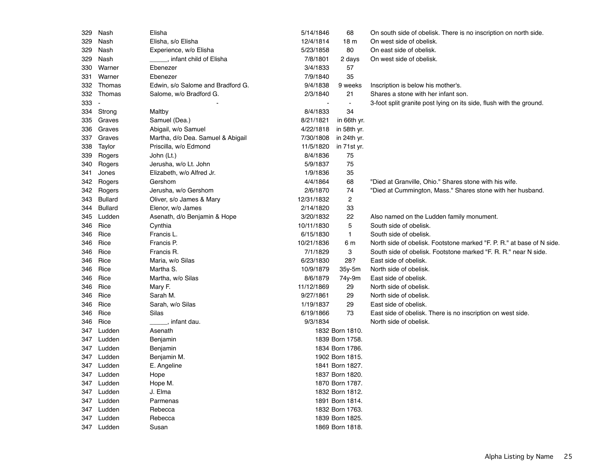| 329 | Nash           | Elisha                            | 5/14/1846  | 68              | On south side of obelisk. There is no inscription on north side.      |
|-----|----------------|-----------------------------------|------------|-----------------|-----------------------------------------------------------------------|
| 329 | Nash           | Elisha, s/o Elisha                | 12/4/1814  | 18 <sub>m</sub> | On west side of obelisk.                                              |
| 329 | Nash           | Experience, w/o Elisha            | 5/23/1858  | 80              | On east side of obelisk.                                              |
| 329 | Nash           | , infant child of Elisha          | 7/8/1801   | 2 days          | On west side of obelisk.                                              |
| 330 | Warner         | Ebenezer                          | 3/4/1833   | 57              |                                                                       |
| 331 | Warner         | Ebenezer                          | 7/9/1840   | 35              |                                                                       |
| 332 | Thomas         | Edwin, s/o Salome and Bradford G. | 9/4/1838   | 9 weeks         | Inscription is below his mother's.                                    |
| 332 | Thomas         | Salome, w/o Bradford G.           | 2/3/1840   | 21              | Shares a stone with her infant son.                                   |
| 333 |                |                                   |            | $\blacksquare$  | 3-foot split granite post lying on its side, flush with the ground.   |
| 334 | Strong         | Maltby                            | 8/4/1833   | 34              |                                                                       |
| 335 | Graves         | Samuel (Dea.)                     | 8/21/1821  | in 66th yr.     |                                                                       |
| 336 | Graves         | Abigail, w/o Samuel               | 4/22/1818  | in 58th yr.     |                                                                       |
| 337 | Graves         | Martha, d/o Dea. Samuel & Abigail | 7/30/1808  | in 24th yr.     |                                                                       |
| 338 | Taylor         | Priscilla, w/o Edmond             | 11/5/1820  | in 71st yr.     |                                                                       |
| 339 | Rogers         | John (Lt.)                        | 8/4/1836   | 75              |                                                                       |
| 340 | Rogers         | Jerusha, w/o Lt. John             | 5/9/1837   | 75              |                                                                       |
| 341 | Jones          | Elizabeth, w/o Alfred Jr.         | 1/9/1836   | 35              |                                                                       |
| 342 | Rogers         | Gershom                           | 4/4/1864   | 68              | "Died at Granville, Ohio." Shares stone with his wife.                |
| 342 | Rogers         | Jerusha, w/o Gershom              | 2/6/1870   | 74              | "Died at Cummington, Mass." Shares stone with her husband.            |
| 343 | <b>Bullard</b> | Oliver, s/o James & Mary          | 12/31/1832 | $\overline{c}$  |                                                                       |
| 344 | <b>Bullard</b> | Elenor, w/o James                 | 2/14/1820  | 33              |                                                                       |
| 345 | Ludden         | Asenath, d/o Benjamin & Hope      | 3/20/1832  | 22              | Also named on the Ludden family monument.                             |
| 346 | Rice           | Cynthia                           | 10/11/1830 | 5               | South side of obelisk.                                                |
| 346 | Rice           | Francis L.                        | 6/15/1830  | $\mathbf{1}$    | South side of obelisk.                                                |
| 346 | Rice           | Francis P.                        | 10/21/1836 | 6 m             | North side of obelisk. Footstone marked "F. P. R." at base of N side. |
| 346 | Rice           | Francis R.                        | 7/1/1829   | 3               | South side of obelisk. Footstone marked "F. R. R." near N side.       |
| 346 | Rice           | Maria, w/o Silas                  | 6/23/1830  | 28?             | East side of obelisk.                                                 |
| 346 | Rice           | Martha S.                         | 10/9/1879  | $35y-5m$        | North side of obelisk.                                                |
| 346 | Rice           | Martha, w/o Silas                 | 8/6/1879   | 74y-9m          | East side of obelisk.                                                 |
| 346 | Rice           | Mary F.                           | 11/12/1869 | 29              | North side of obelisk.                                                |
| 346 | Rice           | Sarah M.                          | 9/27/1861  | 29              | North side of obelisk.                                                |
| 346 | Rice           | Sarah, w/o Silas                  | 1/19/1837  | 29              | East side of obelisk.                                                 |
| 346 | Rice           | Silas                             | 6/19/1866  | 73              | East side of obelisk. There is no inscription on west side.           |
| 346 | Rice           | infant dau.                       | 9/3/1834   |                 | North side of obelisk.                                                |
| 347 | Ludden         | Asenath                           |            | 1832 Born 1810. |                                                                       |
| 347 | Ludden         | Benjamin                          |            | 1839 Born 1758. |                                                                       |
| 347 | Ludden         | Benjamin                          |            | 1834 Born 1786. |                                                                       |
| 347 | Ludden         | Benjamin M.                       |            | 1902 Born 1815. |                                                                       |
| 347 | Ludden         | E. Angeline                       |            | 1841 Born 1827. |                                                                       |
| 347 | Ludden         | Hope                              |            | 1837 Born 1820. |                                                                       |
| 347 | Ludden         | Hope M.                           |            | 1870 Born 1787. |                                                                       |
| 347 | Ludden         | J. Elma                           |            | 1832 Born 1812. |                                                                       |
|     | 347 Ludden     | Parmenas                          |            | 1891 Born 1814. |                                                                       |
| 347 | Ludden         | Rebecca                           |            | 1832 Born 1763. |                                                                       |
|     | 347 Ludden     | Rebecca                           |            | 1839 Born 1825. |                                                                       |
|     | 347 Ludden     | Susan                             |            | 1869 Born 1818. |                                                                       |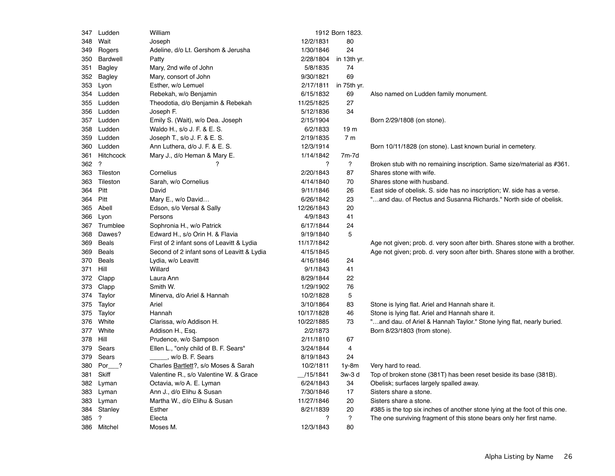| 347      | Ludden       | William                                    |                | 1912 Born 1823.          |                                                                             |
|----------|--------------|--------------------------------------------|----------------|--------------------------|-----------------------------------------------------------------------------|
| 348      | Wait         | Joseph                                     | 12/2/1831      | 80                       |                                                                             |
|          | 349 Rogers   | Adeline, d/o Lt. Gershom & Jerusha         | 1/30/1846      | 24                       |                                                                             |
| 350      | Bardwell     | Patty                                      | 2/28/1804      | in 13th yr.              |                                                                             |
| 351      | Bagley       | Mary, 2nd wife of John                     | 5/8/1835       | 74                       |                                                                             |
| 352      | Bagley       | Mary, consort of John                      | 9/30/1821      | 69                       |                                                                             |
| 353      | Lyon         | Esther, w/o Lemuel                         | 2/17/1811      | in 75th yr.              |                                                                             |
|          | 354 Ludden   | Rebekah, w/o Benjamin                      | 6/15/1832      | 69                       | Also named on Ludden family monument.                                       |
|          | 355 Ludden   | Theodotia, d/o Benjamin & Rebekah          | 11/25/1825     | 27                       |                                                                             |
|          | 356 Ludden   | Joseph F.                                  | 5/12/1836      | 34                       |                                                                             |
| 357      | Ludden       | Emily S. (Wait), w/o Dea. Joseph           | 2/15/1904      |                          | Born 2/29/1808 (on stone).                                                  |
|          | 358 Ludden   | Waldo H., s/o J. F. & E. S.                | 6/2/1833       | 19 <sub>m</sub>          |                                                                             |
|          | 359 Ludden   | Joseph T., s/o J. F. & E. S.               | 2/19/1835      | 7 <sub>m</sub>           |                                                                             |
|          | 360 Ludden   | Ann Luthera, d/o J. F. & E. S.             | 12/3/1914      |                          | Born 10/11/1828 (on stone). Last known burial in cemetery.                  |
| 361      | Hitchcock    | Mary J., d/o Heman & Mary E.               | 1/14/1842      | 7m-7d                    |                                                                             |
| 362 ?    |              | ?                                          | $\overline{?}$ | $\overline{\mathcal{C}}$ | Broken stub with no remaining inscription. Same size/material as #361.      |
|          | 363 Tileston | Cornelius                                  | 2/20/1843      | 87                       | Shares stone with wife.                                                     |
| 363      | Tileston     | Sarah, w/o Cornelius                       | 4/14/1840      | 70                       | Shares stone with husband.                                                  |
| 364      | Pitt         | David                                      | 9/11/1846      | 26                       | East side of obelisk. S. side has no inscription; W. side has a verse.      |
| 364      | Pitt         | Mary E., w/o David                         | 6/26/1842      | 23                       | "and dau. of Rectus and Susanna Richards." North side of obelisk.           |
|          | 365 Abell    | Edson, s/o Versal & Sally                  | 12/26/1843     | 20                       |                                                                             |
|          | 366 Lyon     | Persons                                    | 4/9/1843       | 41                       |                                                                             |
|          | 367 Trumblee | Sophronia H., w/o Patrick                  | 6/17/1844      | 24                       |                                                                             |
| 368      | Dawes?       | Edward H., s/o Orin H. & Flavia            | 9/19/1840      | 5                        |                                                                             |
| 369      | <b>Beals</b> | First of 2 infant sons of Leavitt & Lydia  | 11/17/1842     |                          | Age not given; prob. d. very soon after birth. Shares stone with a brother. |
| 369      | <b>Beals</b> | Second of 2 infant sons of Leavitt & Lydia | 4/15/1845      |                          | Age not given; prob. d. very soon after birth. Shares stone with a brother. |
| 370      | <b>Beals</b> | Lydia, w/o Leavitt                         | 4/16/1846      | 24                       |                                                                             |
| 371      | Hill         | Willard                                    | 9/1/1843       | 41                       |                                                                             |
| 372      | Clapp        | Laura Ann                                  | 8/29/1844      | 22                       |                                                                             |
|          | 373 Clapp    | Smith W.                                   | 1/29/1902      | 76                       |                                                                             |
|          | 374 Taylor   | Minerva, d/o Ariel & Hannah                | 10/2/1828      | 5                        |                                                                             |
|          | 375 Taylor   | Ariel                                      | 3/10/1864      | 83                       | Stone is lying flat. Ariel and Hannah share it.                             |
| 375      | Taylor       | Hannah                                     | 10/17/1828     | 46                       | Stone is lying flat. Ariel and Hannah share it.                             |
| 376      | White        | Clarissa, w/o Addison H.                   | 10/22/1885     | 73                       | "and dau. of Ariel & Hannah Taylor." Stone lying flat, nearly buried.       |
| 377      | White        | Addison H., Esq.                           | 2/2/1873       |                          | Born 8/23/1803 (from stone).                                                |
| 378 Hill |              | Prudence, w/o Sampson                      | 2/11/1810      | 67                       |                                                                             |
| 379      | Sears        | Ellen L., "only child of B. F. Sears"      | 3/24/1844      | 4                        |                                                                             |
| 379      | Sears        | w/o B. F. Sears                            | 8/19/1843      | 24                       |                                                                             |
|          | 380 Por ?    | Charles Bartlett?, s/o Moses & Sarah       | 10/2/1811      | 1y-8m                    | Very hard to read.                                                          |
| 381      | Skiff        | Valentine R., s/o Valentine W. & Grace     | _/15/1841      | 3w-3 d                   | Top of broken stone (381T) has been reset beside its base (381B).           |
| 382      | Lyman        | Octavia, w/o A. E. Lyman                   | 6/24/1843      | 34                       | Obelisk; surfaces largely spalled away.                                     |
| 383      | Lyman        | Ann J., d/o Elihu & Susan                  | 7/30/1846      | 17                       | Sisters share a stone.                                                      |
|          | 383 Lyman    | Martha W., d/o Elihu & Susan               | 11/27/1846     | 20                       | Sisters share a stone.                                                      |
|          | 384 Stanley  | Esther                                     | 8/21/1839      | 20                       | #385 is the top six inches of another stone lying at the foot of this one.  |
| 385 ?    |              | Electa                                     | ?              | $\ddot{?}$               | The one surviving fragment of this stone bears only her first name.         |
|          | 386 Mitchel  | Moses M.                                   | 12/3/1843      | 80                       |                                                                             |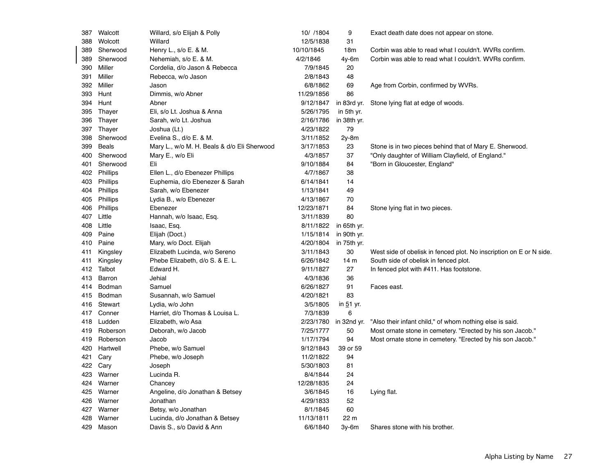| 387 | Walcott      | Willard, s/o Elijah & Polly                 | 10/ /1804  | 9               | Exact death date does not appear on stone.                          |
|-----|--------------|---------------------------------------------|------------|-----------------|---------------------------------------------------------------------|
| 388 | Wolcott      | Willard                                     | 12/5/1838  | 31              |                                                                     |
| 389 | Sherwood     | Henry L., s/o E. & M.                       | 10/10/1845 | 18 <sub>m</sub> | Corbin was able to read what I couldn't. WVRs confirm.              |
| 389 | Sherwood     | Nehemiah, s/o E. & M.                       | 4/2/1846   | 4y-6m           | Corbin was able to read what I couldn't. WVRs confirm.              |
|     | 390 Miller   | Cordelia, d/o Jason & Rebecca               | 7/9/1845   | 20              |                                                                     |
| 391 | Miller       | Rebecca, w/o Jason                          | 2/8/1843   | 48              |                                                                     |
|     | 392 Miller   | Jason                                       | 6/8/1862   | 69              | Age from Corbin, confirmed by WVRs.                                 |
| 393 | Hunt         | Dimmis, w/o Abner                           | 11/29/1856 | 86              |                                                                     |
|     | 394 Hunt     | Abner                                       | 9/12/1847  | in 83rd yr.     | Stone lying flat at edge of woods.                                  |
| 395 | Thayer       | Eli, s/o Lt. Joshua & Anna                  | 5/26/1795  | in 5th yr.      |                                                                     |
| 396 | Thayer       | Sarah, w/o Lt. Joshua                       | 2/16/1786  | in 38th yr.     |                                                                     |
|     | 397 Thayer   | Joshua (Lt.)                                | 4/23/1822  | 79              |                                                                     |
|     | 398 Sherwood | Evelina S., d/o E. & M.                     | 3/11/1852  | $2y-8m$         |                                                                     |
| 399 | Beals        | Mary L., w/o M. H. Beals & d/o Eli Sherwood | 3/17/1853  | 23              | Stone is in two pieces behind that of Mary E. Sherwood.             |
|     | 400 Sherwood | Mary E., w/o Eli                            | 4/3/1857   | 37              | "Only daughter of William Clayfield, of England."                   |
| 401 | Sherwood     | Eli                                         | 9/10/1884  | 84              | "Born in Gloucester, England"                                       |
|     | 402 Phillips | Ellen L., d/o Ebenezer Phillips             | 4/7/1867   | 38              |                                                                     |
| 403 | Phillips     | Euphemia, d/o Ebenezer & Sarah              | 6/14/1841  | 14              |                                                                     |
| 404 | Phillips     | Sarah, w/o Ebenezer                         | 1/13/1841  | 49              |                                                                     |
| 405 | Phillips     | Lydia B., w/o Ebenezer                      | 4/13/1867  | 70              |                                                                     |
| 406 | Phillips     | Ebenezer                                    | 12/23/1871 | 84              | Stone lying flat in two pieces.                                     |
|     | 407 Little   | Hannah, w/o Isaac, Esq.                     | 3/11/1839  | 80              |                                                                     |
| 408 | Little       | Isaac, Esq.                                 | 8/11/1822  | in 65th yr.     |                                                                     |
| 409 | Paine        | Elijah (Doct.)                              | 1/15/1814  | in 90th yr.     |                                                                     |
| 410 | Paine        | Mary, w/o Doct. Elijah                      | 4/20/1804  | in 75th yr.     |                                                                     |
| 411 | Kingsley     | Elizabeth Lucinda, w/o Sereno               | 3/11/1843  | 30              | West side of obelisk in fenced plot. No inscription on E or N side. |
| 411 | Kingsley     | Phebe Elizabeth, d/o S. & E. L.             | 6/26/1842  | 14 <sub>m</sub> | South side of obelisk in fenced plot.                               |
|     | 412 Talbot   | Edward H.                                   | 9/11/1827  | 27              | In fenced plot with #411. Has footstone.                            |
|     | 413 Barron   | Jehial                                      | 4/3/1836   | 36              |                                                                     |
| 414 | Bodman       | Samuel                                      | 6/26/1827  | 91              | Faces east.                                                         |
| 415 | Bodman       | Susannah, w/o Samuel                        | 4/20/1821  | 83              |                                                                     |
|     | 416 Stewart  | Lydia, w/o John                             | 3/5/1805   | in $51$ yr.     |                                                                     |
| 417 | Conner       | Harriet, d/o Thomas & Louisa L.             | 7/3/1839   | 6               |                                                                     |
|     | 418 Ludden   | Elizabeth, w/o Asa                          | 2/23/1780  | in 32nd yr.     | "Also their infant child," of whom nothing else is said.            |
| 419 | Roberson     | Deborah, w/o Jacob                          | 7/25/1777  | 50              | Most ornate stone in cemetery. "Erected by his son Jacob."          |
| 419 | Roberson     | Jacob                                       | 1/17/1794  | 94              | Most ornate stone in cemetery. "Erected by his son Jacob."          |
|     | 420 Hartwell | Phebe, w/o Samuel                           | 9/12/1843  | 39 or 59        |                                                                     |
| 421 | Cary         | Phebe, w/o Joseph                           | 11/2/1822  | 94              |                                                                     |
|     | 422 Cary     | Joseph                                      | 5/30/1803  | 81              |                                                                     |
|     | 423 Warner   | Lucinda R.                                  | 8/4/1844   | 24              |                                                                     |
|     | 424 Warner   | Chancey                                     | 12/28/1835 | 24              |                                                                     |
|     | 425 Warner   | Angeline, d/o Jonathan & Betsey             | 3/6/1845   | 16              | Lying flat.                                                         |
|     | 426 Warner   | Jonathan                                    | 4/29/1833  | 52              |                                                                     |
|     | 427 Warner   | Betsy, w/o Jonathan                         | 8/1/1845   | 60              |                                                                     |
| 428 | Warner       | Lucinda, d/o Jonathan & Betsey              | 11/13/1811 | 22 m            |                                                                     |
|     | 429 Mason    | Davis S., s/o David & Ann                   | 6/6/1840   | $3v-6m$         | Shares stone with his brother.                                      |
|     |              |                                             |            |                 |                                                                     |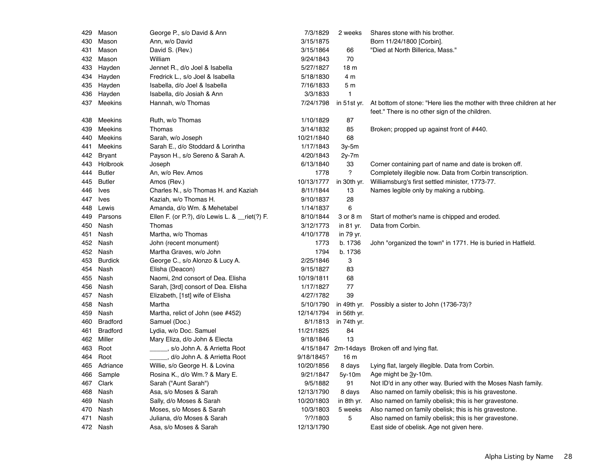| Mason<br>Ann, w/o David<br>3/15/1875<br>Born 11/24/1800 [Corbin].<br>430<br>David S. (Rev.)<br>3/15/1864<br>"Died at North Billerica, Mass."<br>431<br>Mason<br>66<br>70<br>Mason<br>William<br>9/24/1843<br>432<br>Jennet R., d/o Joel & Isabella<br>5/27/1827<br>18 <sub>m</sub><br>433<br>Hayden<br>Hayden<br>Fredrick L., s/o Joel & Isabella<br>5/18/1830<br>4 m<br>434<br>Hayden<br>7/16/1833<br>5 m<br>435<br>Isabella, d/o Joel & Isabella<br>Hayden<br>Isabella, d/o Josiah & Ann<br>3/3/1833<br>$\mathbf{1}$<br>436<br>Meekins<br>7/24/1798<br>At bottom of stone: "Here lies the mother with three children at her<br>437<br>Hannah, w/o Thomas<br>in 51st yr.<br>feet." There is no other sign of the children.<br>87<br>Meekins<br>Ruth, w/o Thomas<br>1/10/1829<br>438<br><b>Meekins</b><br>Thomas<br>3/14/1832<br>85<br>439<br>Broken; propped up against front of #440.<br>68<br>Meekins<br>Sarah, w/o Joseph<br>10/21/1840<br>440<br>Meekins<br>Sarah E., d/o Stoddard & Lorintha<br>1/17/1843<br>$3y-5m$<br>441<br><b>Bryant</b><br>Payson H., s/o Sereno & Sarah A.<br>4/20/1843<br>$2y-7m$<br>442<br>Holbrook<br>6/13/1840<br>33<br>Corner containing part of name and date is broken off.<br>443<br>Joseph<br>?<br><b>Butler</b><br>An, w/o Rev. Amos<br>1778<br>Completely illegible now. Data from Corbin transcription.<br>444<br>Williamsburg's first settled minister, 1773-77.<br><b>Butler</b><br>Amos (Rev.)<br>10/13/1777<br>445<br>in 30th yr.<br>Ives<br>Charles N., s/o Thomas H. and Kaziah<br>8/11/1844<br>13<br>Names legible only by making a rubbing.<br>446<br>28<br>Kaziah, w/o Thomas H.<br>9/10/1837<br>447<br>Ives<br>6<br>Amanda, d/o Wm. & Mehetabel<br>1/14/1837<br>448<br>Lewis<br>Ellen F. (or P.?), d/o Lewis L. & _riet(?) F.<br>8/10/1844<br>Start of mother's name is chipped and eroded.<br>449<br>Parsons<br>3 or 8 m<br>Nash<br>Thomas<br>3/12/1773<br>in 81 yr.<br>Data from Corbin.<br>450<br>Nash<br>4/10/1778<br>451<br>Martha, w/o Thomas<br>in 79 yr.<br>Nash<br>1773<br>b. 1736<br>John "organized the town" in 1771. He is buried in Hatfield.<br>452<br>John (recent monument)<br>Martha Graves, w/o John<br>1794<br>b. 1736<br>452<br>Nash<br><b>Burdick</b><br>George C., s/o Alonzo & Lucy A.<br>2/25/1846<br>3<br>453<br>9/15/1827<br>83<br>454<br>Nash<br>Elisha (Deacon)<br>Naomi, 2nd consort of Dea. Elisha<br>Nash<br>10/19/1811<br>68<br>455<br>77<br>Nash<br>Sarah, [3rd] consort of Dea. Elisha<br>1/17/1827<br>456<br>39<br>Nash<br>Elizabeth, [1st] wife of Elisha<br>4/27/1782<br>457<br>Nash<br>Martha<br>5/10/1790<br>in 49th yr.<br>Possibly a sister to John (1736-73)?<br>458<br>Nash<br>Martha, relict of John (see #452)<br>12/14/1794<br>in 56th yr.<br>459<br><b>Bradford</b><br>Samuel (Doc.)<br>8/1/1813<br>in 74th yr.<br>460<br><b>Bradford</b><br>Lydia, w/o Doc. Samuel<br>11/21/1825<br>84<br>461<br>13<br>Miller<br>Mary Eliza, d/o John & Electa<br>9/18/1846<br>462<br>Root<br>s/o John A. & Arrietta Root<br>4/15/1847 2m-14days Broken off and lying flat.<br>463<br>Root<br>, d/o John A. & Arrietta Root<br>9/18/1845?<br>16 <sub>m</sub><br>464<br>Adriance<br>Willie, s/o George H. & Lovina<br>10/20/1856<br>8 days<br>Lying flat, largely illegible. Data from Corbin.<br>465<br>Sample<br>Rosina K., d/o Wm.? & Mary E.<br>9/21/1847<br>Age might be 3y-10m.<br>$5y-10m$<br>466<br>Clark<br>9/5/1882<br>91<br>Not ID'd in any other way. Buried with the Moses Nash family.<br>467<br>Sarah ("Aunt Sarah")<br>12/13/1790<br>8 days<br>Also named on family obelisk; this is his gravestone.<br>468<br>Nash<br>Asa, s/o Moses & Sarah<br>Nash<br>Sally, d/o Moses & Sarah<br>10/20/1803<br>in 8th yr.<br>Also named on family obelisk; this is her gravestone.<br>469<br>10/3/1803<br>Nash<br>Moses, s/o Moses & Sarah<br>5 weeks<br>Also named on family obelisk; this is his gravestone.<br>470<br>$?$ /?/1803<br>5<br>Nash<br>Juliana, d/o Moses & Sarah<br>Also named on family obelisk; this is her gravestone.<br>471<br>472 Nash | 429 | Mason | George P., s/o David & Ann | 7/3/1829   | 2 weeks | Shares stone with his brother.            |
|---------------------------------------------------------------------------------------------------------------------------------------------------------------------------------------------------------------------------------------------------------------------------------------------------------------------------------------------------------------------------------------------------------------------------------------------------------------------------------------------------------------------------------------------------------------------------------------------------------------------------------------------------------------------------------------------------------------------------------------------------------------------------------------------------------------------------------------------------------------------------------------------------------------------------------------------------------------------------------------------------------------------------------------------------------------------------------------------------------------------------------------------------------------------------------------------------------------------------------------------------------------------------------------------------------------------------------------------------------------------------------------------------------------------------------------------------------------------------------------------------------------------------------------------------------------------------------------------------------------------------------------------------------------------------------------------------------------------------------------------------------------------------------------------------------------------------------------------------------------------------------------------------------------------------------------------------------------------------------------------------------------------------------------------------------------------------------------------------------------------------------------------------------------------------------------------------------------------------------------------------------------------------------------------------------------------------------------------------------------------------------------------------------------------------------------------------------------------------------------------------------------------------------------------------------------------------------------------------------------------------------------------------------------------------------------------------------------------------------------------------------------------------------------------------------------------------------------------------------------------------------------------------------------------------------------------------------------------------------------------------------------------------------------------------------------------------------------------------------------------------------------------------------------------------------------------------------------------------------------------------------------------------------------------------------------------------------------------------------------------------------------------------------------------------------------------------------------------------------------------------------------------------------------------------------------------------------------------------------------------------------------------------------------------------------------------------------------------------------------------------------------------------------------------------------------------------------------------------------------------------------------------------------------------------------------------------------------------------------------------------------------------------------------------------|-----|-------|----------------------------|------------|---------|-------------------------------------------|
|                                                                                                                                                                                                                                                                                                                                                                                                                                                                                                                                                                                                                                                                                                                                                                                                                                                                                                                                                                                                                                                                                                                                                                                                                                                                                                                                                                                                                                                                                                                                                                                                                                                                                                                                                                                                                                                                                                                                                                                                                                                                                                                                                                                                                                                                                                                                                                                                                                                                                                                                                                                                                                                                                                                                                                                                                                                                                                                                                                                                                                                                                                                                                                                                                                                                                                                                                                                                                                                                                                                                                                                                                                                                                                                                                                                                                                                                                                                                                                                                                                                   |     |       |                            |            |         |                                           |
|                                                                                                                                                                                                                                                                                                                                                                                                                                                                                                                                                                                                                                                                                                                                                                                                                                                                                                                                                                                                                                                                                                                                                                                                                                                                                                                                                                                                                                                                                                                                                                                                                                                                                                                                                                                                                                                                                                                                                                                                                                                                                                                                                                                                                                                                                                                                                                                                                                                                                                                                                                                                                                                                                                                                                                                                                                                                                                                                                                                                                                                                                                                                                                                                                                                                                                                                                                                                                                                                                                                                                                                                                                                                                                                                                                                                                                                                                                                                                                                                                                                   |     |       |                            |            |         |                                           |
|                                                                                                                                                                                                                                                                                                                                                                                                                                                                                                                                                                                                                                                                                                                                                                                                                                                                                                                                                                                                                                                                                                                                                                                                                                                                                                                                                                                                                                                                                                                                                                                                                                                                                                                                                                                                                                                                                                                                                                                                                                                                                                                                                                                                                                                                                                                                                                                                                                                                                                                                                                                                                                                                                                                                                                                                                                                                                                                                                                                                                                                                                                                                                                                                                                                                                                                                                                                                                                                                                                                                                                                                                                                                                                                                                                                                                                                                                                                                                                                                                                                   |     |       |                            |            |         |                                           |
|                                                                                                                                                                                                                                                                                                                                                                                                                                                                                                                                                                                                                                                                                                                                                                                                                                                                                                                                                                                                                                                                                                                                                                                                                                                                                                                                                                                                                                                                                                                                                                                                                                                                                                                                                                                                                                                                                                                                                                                                                                                                                                                                                                                                                                                                                                                                                                                                                                                                                                                                                                                                                                                                                                                                                                                                                                                                                                                                                                                                                                                                                                                                                                                                                                                                                                                                                                                                                                                                                                                                                                                                                                                                                                                                                                                                                                                                                                                                                                                                                                                   |     |       |                            |            |         |                                           |
|                                                                                                                                                                                                                                                                                                                                                                                                                                                                                                                                                                                                                                                                                                                                                                                                                                                                                                                                                                                                                                                                                                                                                                                                                                                                                                                                                                                                                                                                                                                                                                                                                                                                                                                                                                                                                                                                                                                                                                                                                                                                                                                                                                                                                                                                                                                                                                                                                                                                                                                                                                                                                                                                                                                                                                                                                                                                                                                                                                                                                                                                                                                                                                                                                                                                                                                                                                                                                                                                                                                                                                                                                                                                                                                                                                                                                                                                                                                                                                                                                                                   |     |       |                            |            |         |                                           |
|                                                                                                                                                                                                                                                                                                                                                                                                                                                                                                                                                                                                                                                                                                                                                                                                                                                                                                                                                                                                                                                                                                                                                                                                                                                                                                                                                                                                                                                                                                                                                                                                                                                                                                                                                                                                                                                                                                                                                                                                                                                                                                                                                                                                                                                                                                                                                                                                                                                                                                                                                                                                                                                                                                                                                                                                                                                                                                                                                                                                                                                                                                                                                                                                                                                                                                                                                                                                                                                                                                                                                                                                                                                                                                                                                                                                                                                                                                                                                                                                                                                   |     |       |                            |            |         |                                           |
|                                                                                                                                                                                                                                                                                                                                                                                                                                                                                                                                                                                                                                                                                                                                                                                                                                                                                                                                                                                                                                                                                                                                                                                                                                                                                                                                                                                                                                                                                                                                                                                                                                                                                                                                                                                                                                                                                                                                                                                                                                                                                                                                                                                                                                                                                                                                                                                                                                                                                                                                                                                                                                                                                                                                                                                                                                                                                                                                                                                                                                                                                                                                                                                                                                                                                                                                                                                                                                                                                                                                                                                                                                                                                                                                                                                                                                                                                                                                                                                                                                                   |     |       |                            |            |         |                                           |
|                                                                                                                                                                                                                                                                                                                                                                                                                                                                                                                                                                                                                                                                                                                                                                                                                                                                                                                                                                                                                                                                                                                                                                                                                                                                                                                                                                                                                                                                                                                                                                                                                                                                                                                                                                                                                                                                                                                                                                                                                                                                                                                                                                                                                                                                                                                                                                                                                                                                                                                                                                                                                                                                                                                                                                                                                                                                                                                                                                                                                                                                                                                                                                                                                                                                                                                                                                                                                                                                                                                                                                                                                                                                                                                                                                                                                                                                                                                                                                                                                                                   |     |       |                            |            |         |                                           |
|                                                                                                                                                                                                                                                                                                                                                                                                                                                                                                                                                                                                                                                                                                                                                                                                                                                                                                                                                                                                                                                                                                                                                                                                                                                                                                                                                                                                                                                                                                                                                                                                                                                                                                                                                                                                                                                                                                                                                                                                                                                                                                                                                                                                                                                                                                                                                                                                                                                                                                                                                                                                                                                                                                                                                                                                                                                                                                                                                                                                                                                                                                                                                                                                                                                                                                                                                                                                                                                                                                                                                                                                                                                                                                                                                                                                                                                                                                                                                                                                                                                   |     |       |                            |            |         |                                           |
|                                                                                                                                                                                                                                                                                                                                                                                                                                                                                                                                                                                                                                                                                                                                                                                                                                                                                                                                                                                                                                                                                                                                                                                                                                                                                                                                                                                                                                                                                                                                                                                                                                                                                                                                                                                                                                                                                                                                                                                                                                                                                                                                                                                                                                                                                                                                                                                                                                                                                                                                                                                                                                                                                                                                                                                                                                                                                                                                                                                                                                                                                                                                                                                                                                                                                                                                                                                                                                                                                                                                                                                                                                                                                                                                                                                                                                                                                                                                                                                                                                                   |     |       |                            |            |         |                                           |
|                                                                                                                                                                                                                                                                                                                                                                                                                                                                                                                                                                                                                                                                                                                                                                                                                                                                                                                                                                                                                                                                                                                                                                                                                                                                                                                                                                                                                                                                                                                                                                                                                                                                                                                                                                                                                                                                                                                                                                                                                                                                                                                                                                                                                                                                                                                                                                                                                                                                                                                                                                                                                                                                                                                                                                                                                                                                                                                                                                                                                                                                                                                                                                                                                                                                                                                                                                                                                                                                                                                                                                                                                                                                                                                                                                                                                                                                                                                                                                                                                                                   |     |       |                            |            |         |                                           |
|                                                                                                                                                                                                                                                                                                                                                                                                                                                                                                                                                                                                                                                                                                                                                                                                                                                                                                                                                                                                                                                                                                                                                                                                                                                                                                                                                                                                                                                                                                                                                                                                                                                                                                                                                                                                                                                                                                                                                                                                                                                                                                                                                                                                                                                                                                                                                                                                                                                                                                                                                                                                                                                                                                                                                                                                                                                                                                                                                                                                                                                                                                                                                                                                                                                                                                                                                                                                                                                                                                                                                                                                                                                                                                                                                                                                                                                                                                                                                                                                                                                   |     |       |                            |            |         |                                           |
|                                                                                                                                                                                                                                                                                                                                                                                                                                                                                                                                                                                                                                                                                                                                                                                                                                                                                                                                                                                                                                                                                                                                                                                                                                                                                                                                                                                                                                                                                                                                                                                                                                                                                                                                                                                                                                                                                                                                                                                                                                                                                                                                                                                                                                                                                                                                                                                                                                                                                                                                                                                                                                                                                                                                                                                                                                                                                                                                                                                                                                                                                                                                                                                                                                                                                                                                                                                                                                                                                                                                                                                                                                                                                                                                                                                                                                                                                                                                                                                                                                                   |     |       |                            |            |         |                                           |
|                                                                                                                                                                                                                                                                                                                                                                                                                                                                                                                                                                                                                                                                                                                                                                                                                                                                                                                                                                                                                                                                                                                                                                                                                                                                                                                                                                                                                                                                                                                                                                                                                                                                                                                                                                                                                                                                                                                                                                                                                                                                                                                                                                                                                                                                                                                                                                                                                                                                                                                                                                                                                                                                                                                                                                                                                                                                                                                                                                                                                                                                                                                                                                                                                                                                                                                                                                                                                                                                                                                                                                                                                                                                                                                                                                                                                                                                                                                                                                                                                                                   |     |       |                            |            |         |                                           |
|                                                                                                                                                                                                                                                                                                                                                                                                                                                                                                                                                                                                                                                                                                                                                                                                                                                                                                                                                                                                                                                                                                                                                                                                                                                                                                                                                                                                                                                                                                                                                                                                                                                                                                                                                                                                                                                                                                                                                                                                                                                                                                                                                                                                                                                                                                                                                                                                                                                                                                                                                                                                                                                                                                                                                                                                                                                                                                                                                                                                                                                                                                                                                                                                                                                                                                                                                                                                                                                                                                                                                                                                                                                                                                                                                                                                                                                                                                                                                                                                                                                   |     |       |                            |            |         |                                           |
|                                                                                                                                                                                                                                                                                                                                                                                                                                                                                                                                                                                                                                                                                                                                                                                                                                                                                                                                                                                                                                                                                                                                                                                                                                                                                                                                                                                                                                                                                                                                                                                                                                                                                                                                                                                                                                                                                                                                                                                                                                                                                                                                                                                                                                                                                                                                                                                                                                                                                                                                                                                                                                                                                                                                                                                                                                                                                                                                                                                                                                                                                                                                                                                                                                                                                                                                                                                                                                                                                                                                                                                                                                                                                                                                                                                                                                                                                                                                                                                                                                                   |     |       |                            |            |         |                                           |
|                                                                                                                                                                                                                                                                                                                                                                                                                                                                                                                                                                                                                                                                                                                                                                                                                                                                                                                                                                                                                                                                                                                                                                                                                                                                                                                                                                                                                                                                                                                                                                                                                                                                                                                                                                                                                                                                                                                                                                                                                                                                                                                                                                                                                                                                                                                                                                                                                                                                                                                                                                                                                                                                                                                                                                                                                                                                                                                                                                                                                                                                                                                                                                                                                                                                                                                                                                                                                                                                                                                                                                                                                                                                                                                                                                                                                                                                                                                                                                                                                                                   |     |       |                            |            |         |                                           |
|                                                                                                                                                                                                                                                                                                                                                                                                                                                                                                                                                                                                                                                                                                                                                                                                                                                                                                                                                                                                                                                                                                                                                                                                                                                                                                                                                                                                                                                                                                                                                                                                                                                                                                                                                                                                                                                                                                                                                                                                                                                                                                                                                                                                                                                                                                                                                                                                                                                                                                                                                                                                                                                                                                                                                                                                                                                                                                                                                                                                                                                                                                                                                                                                                                                                                                                                                                                                                                                                                                                                                                                                                                                                                                                                                                                                                                                                                                                                                                                                                                                   |     |       |                            |            |         |                                           |
|                                                                                                                                                                                                                                                                                                                                                                                                                                                                                                                                                                                                                                                                                                                                                                                                                                                                                                                                                                                                                                                                                                                                                                                                                                                                                                                                                                                                                                                                                                                                                                                                                                                                                                                                                                                                                                                                                                                                                                                                                                                                                                                                                                                                                                                                                                                                                                                                                                                                                                                                                                                                                                                                                                                                                                                                                                                                                                                                                                                                                                                                                                                                                                                                                                                                                                                                                                                                                                                                                                                                                                                                                                                                                                                                                                                                                                                                                                                                                                                                                                                   |     |       |                            |            |         |                                           |
|                                                                                                                                                                                                                                                                                                                                                                                                                                                                                                                                                                                                                                                                                                                                                                                                                                                                                                                                                                                                                                                                                                                                                                                                                                                                                                                                                                                                                                                                                                                                                                                                                                                                                                                                                                                                                                                                                                                                                                                                                                                                                                                                                                                                                                                                                                                                                                                                                                                                                                                                                                                                                                                                                                                                                                                                                                                                                                                                                                                                                                                                                                                                                                                                                                                                                                                                                                                                                                                                                                                                                                                                                                                                                                                                                                                                                                                                                                                                                                                                                                                   |     |       |                            |            |         |                                           |
|                                                                                                                                                                                                                                                                                                                                                                                                                                                                                                                                                                                                                                                                                                                                                                                                                                                                                                                                                                                                                                                                                                                                                                                                                                                                                                                                                                                                                                                                                                                                                                                                                                                                                                                                                                                                                                                                                                                                                                                                                                                                                                                                                                                                                                                                                                                                                                                                                                                                                                                                                                                                                                                                                                                                                                                                                                                                                                                                                                                                                                                                                                                                                                                                                                                                                                                                                                                                                                                                                                                                                                                                                                                                                                                                                                                                                                                                                                                                                                                                                                                   |     |       |                            |            |         |                                           |
|                                                                                                                                                                                                                                                                                                                                                                                                                                                                                                                                                                                                                                                                                                                                                                                                                                                                                                                                                                                                                                                                                                                                                                                                                                                                                                                                                                                                                                                                                                                                                                                                                                                                                                                                                                                                                                                                                                                                                                                                                                                                                                                                                                                                                                                                                                                                                                                                                                                                                                                                                                                                                                                                                                                                                                                                                                                                                                                                                                                                                                                                                                                                                                                                                                                                                                                                                                                                                                                                                                                                                                                                                                                                                                                                                                                                                                                                                                                                                                                                                                                   |     |       |                            |            |         |                                           |
|                                                                                                                                                                                                                                                                                                                                                                                                                                                                                                                                                                                                                                                                                                                                                                                                                                                                                                                                                                                                                                                                                                                                                                                                                                                                                                                                                                                                                                                                                                                                                                                                                                                                                                                                                                                                                                                                                                                                                                                                                                                                                                                                                                                                                                                                                                                                                                                                                                                                                                                                                                                                                                                                                                                                                                                                                                                                                                                                                                                                                                                                                                                                                                                                                                                                                                                                                                                                                                                                                                                                                                                                                                                                                                                                                                                                                                                                                                                                                                                                                                                   |     |       |                            |            |         |                                           |
|                                                                                                                                                                                                                                                                                                                                                                                                                                                                                                                                                                                                                                                                                                                                                                                                                                                                                                                                                                                                                                                                                                                                                                                                                                                                                                                                                                                                                                                                                                                                                                                                                                                                                                                                                                                                                                                                                                                                                                                                                                                                                                                                                                                                                                                                                                                                                                                                                                                                                                                                                                                                                                                                                                                                                                                                                                                                                                                                                                                                                                                                                                                                                                                                                                                                                                                                                                                                                                                                                                                                                                                                                                                                                                                                                                                                                                                                                                                                                                                                                                                   |     |       |                            |            |         |                                           |
|                                                                                                                                                                                                                                                                                                                                                                                                                                                                                                                                                                                                                                                                                                                                                                                                                                                                                                                                                                                                                                                                                                                                                                                                                                                                                                                                                                                                                                                                                                                                                                                                                                                                                                                                                                                                                                                                                                                                                                                                                                                                                                                                                                                                                                                                                                                                                                                                                                                                                                                                                                                                                                                                                                                                                                                                                                                                                                                                                                                                                                                                                                                                                                                                                                                                                                                                                                                                                                                                                                                                                                                                                                                                                                                                                                                                                                                                                                                                                                                                                                                   |     |       |                            |            |         |                                           |
|                                                                                                                                                                                                                                                                                                                                                                                                                                                                                                                                                                                                                                                                                                                                                                                                                                                                                                                                                                                                                                                                                                                                                                                                                                                                                                                                                                                                                                                                                                                                                                                                                                                                                                                                                                                                                                                                                                                                                                                                                                                                                                                                                                                                                                                                                                                                                                                                                                                                                                                                                                                                                                                                                                                                                                                                                                                                                                                                                                                                                                                                                                                                                                                                                                                                                                                                                                                                                                                                                                                                                                                                                                                                                                                                                                                                                                                                                                                                                                                                                                                   |     |       |                            |            |         |                                           |
|                                                                                                                                                                                                                                                                                                                                                                                                                                                                                                                                                                                                                                                                                                                                                                                                                                                                                                                                                                                                                                                                                                                                                                                                                                                                                                                                                                                                                                                                                                                                                                                                                                                                                                                                                                                                                                                                                                                                                                                                                                                                                                                                                                                                                                                                                                                                                                                                                                                                                                                                                                                                                                                                                                                                                                                                                                                                                                                                                                                                                                                                                                                                                                                                                                                                                                                                                                                                                                                                                                                                                                                                                                                                                                                                                                                                                                                                                                                                                                                                                                                   |     |       |                            |            |         |                                           |
|                                                                                                                                                                                                                                                                                                                                                                                                                                                                                                                                                                                                                                                                                                                                                                                                                                                                                                                                                                                                                                                                                                                                                                                                                                                                                                                                                                                                                                                                                                                                                                                                                                                                                                                                                                                                                                                                                                                                                                                                                                                                                                                                                                                                                                                                                                                                                                                                                                                                                                                                                                                                                                                                                                                                                                                                                                                                                                                                                                                                                                                                                                                                                                                                                                                                                                                                                                                                                                                                                                                                                                                                                                                                                                                                                                                                                                                                                                                                                                                                                                                   |     |       |                            |            |         |                                           |
|                                                                                                                                                                                                                                                                                                                                                                                                                                                                                                                                                                                                                                                                                                                                                                                                                                                                                                                                                                                                                                                                                                                                                                                                                                                                                                                                                                                                                                                                                                                                                                                                                                                                                                                                                                                                                                                                                                                                                                                                                                                                                                                                                                                                                                                                                                                                                                                                                                                                                                                                                                                                                                                                                                                                                                                                                                                                                                                                                                                                                                                                                                                                                                                                                                                                                                                                                                                                                                                                                                                                                                                                                                                                                                                                                                                                                                                                                                                                                                                                                                                   |     |       |                            |            |         |                                           |
|                                                                                                                                                                                                                                                                                                                                                                                                                                                                                                                                                                                                                                                                                                                                                                                                                                                                                                                                                                                                                                                                                                                                                                                                                                                                                                                                                                                                                                                                                                                                                                                                                                                                                                                                                                                                                                                                                                                                                                                                                                                                                                                                                                                                                                                                                                                                                                                                                                                                                                                                                                                                                                                                                                                                                                                                                                                                                                                                                                                                                                                                                                                                                                                                                                                                                                                                                                                                                                                                                                                                                                                                                                                                                                                                                                                                                                                                                                                                                                                                                                                   |     |       |                            |            |         |                                           |
|                                                                                                                                                                                                                                                                                                                                                                                                                                                                                                                                                                                                                                                                                                                                                                                                                                                                                                                                                                                                                                                                                                                                                                                                                                                                                                                                                                                                                                                                                                                                                                                                                                                                                                                                                                                                                                                                                                                                                                                                                                                                                                                                                                                                                                                                                                                                                                                                                                                                                                                                                                                                                                                                                                                                                                                                                                                                                                                                                                                                                                                                                                                                                                                                                                                                                                                                                                                                                                                                                                                                                                                                                                                                                                                                                                                                                                                                                                                                                                                                                                                   |     |       |                            |            |         |                                           |
|                                                                                                                                                                                                                                                                                                                                                                                                                                                                                                                                                                                                                                                                                                                                                                                                                                                                                                                                                                                                                                                                                                                                                                                                                                                                                                                                                                                                                                                                                                                                                                                                                                                                                                                                                                                                                                                                                                                                                                                                                                                                                                                                                                                                                                                                                                                                                                                                                                                                                                                                                                                                                                                                                                                                                                                                                                                                                                                                                                                                                                                                                                                                                                                                                                                                                                                                                                                                                                                                                                                                                                                                                                                                                                                                                                                                                                                                                                                                                                                                                                                   |     |       |                            |            |         |                                           |
|                                                                                                                                                                                                                                                                                                                                                                                                                                                                                                                                                                                                                                                                                                                                                                                                                                                                                                                                                                                                                                                                                                                                                                                                                                                                                                                                                                                                                                                                                                                                                                                                                                                                                                                                                                                                                                                                                                                                                                                                                                                                                                                                                                                                                                                                                                                                                                                                                                                                                                                                                                                                                                                                                                                                                                                                                                                                                                                                                                                                                                                                                                                                                                                                                                                                                                                                                                                                                                                                                                                                                                                                                                                                                                                                                                                                                                                                                                                                                                                                                                                   |     |       |                            |            |         |                                           |
|                                                                                                                                                                                                                                                                                                                                                                                                                                                                                                                                                                                                                                                                                                                                                                                                                                                                                                                                                                                                                                                                                                                                                                                                                                                                                                                                                                                                                                                                                                                                                                                                                                                                                                                                                                                                                                                                                                                                                                                                                                                                                                                                                                                                                                                                                                                                                                                                                                                                                                                                                                                                                                                                                                                                                                                                                                                                                                                                                                                                                                                                                                                                                                                                                                                                                                                                                                                                                                                                                                                                                                                                                                                                                                                                                                                                                                                                                                                                                                                                                                                   |     |       |                            |            |         |                                           |
|                                                                                                                                                                                                                                                                                                                                                                                                                                                                                                                                                                                                                                                                                                                                                                                                                                                                                                                                                                                                                                                                                                                                                                                                                                                                                                                                                                                                                                                                                                                                                                                                                                                                                                                                                                                                                                                                                                                                                                                                                                                                                                                                                                                                                                                                                                                                                                                                                                                                                                                                                                                                                                                                                                                                                                                                                                                                                                                                                                                                                                                                                                                                                                                                                                                                                                                                                                                                                                                                                                                                                                                                                                                                                                                                                                                                                                                                                                                                                                                                                                                   |     |       |                            |            |         |                                           |
|                                                                                                                                                                                                                                                                                                                                                                                                                                                                                                                                                                                                                                                                                                                                                                                                                                                                                                                                                                                                                                                                                                                                                                                                                                                                                                                                                                                                                                                                                                                                                                                                                                                                                                                                                                                                                                                                                                                                                                                                                                                                                                                                                                                                                                                                                                                                                                                                                                                                                                                                                                                                                                                                                                                                                                                                                                                                                                                                                                                                                                                                                                                                                                                                                                                                                                                                                                                                                                                                                                                                                                                                                                                                                                                                                                                                                                                                                                                                                                                                                                                   |     |       |                            |            |         |                                           |
|                                                                                                                                                                                                                                                                                                                                                                                                                                                                                                                                                                                                                                                                                                                                                                                                                                                                                                                                                                                                                                                                                                                                                                                                                                                                                                                                                                                                                                                                                                                                                                                                                                                                                                                                                                                                                                                                                                                                                                                                                                                                                                                                                                                                                                                                                                                                                                                                                                                                                                                                                                                                                                                                                                                                                                                                                                                                                                                                                                                                                                                                                                                                                                                                                                                                                                                                                                                                                                                                                                                                                                                                                                                                                                                                                                                                                                                                                                                                                                                                                                                   |     |       |                            |            |         |                                           |
|                                                                                                                                                                                                                                                                                                                                                                                                                                                                                                                                                                                                                                                                                                                                                                                                                                                                                                                                                                                                                                                                                                                                                                                                                                                                                                                                                                                                                                                                                                                                                                                                                                                                                                                                                                                                                                                                                                                                                                                                                                                                                                                                                                                                                                                                                                                                                                                                                                                                                                                                                                                                                                                                                                                                                                                                                                                                                                                                                                                                                                                                                                                                                                                                                                                                                                                                                                                                                                                                                                                                                                                                                                                                                                                                                                                                                                                                                                                                                                                                                                                   |     |       |                            |            |         |                                           |
|                                                                                                                                                                                                                                                                                                                                                                                                                                                                                                                                                                                                                                                                                                                                                                                                                                                                                                                                                                                                                                                                                                                                                                                                                                                                                                                                                                                                                                                                                                                                                                                                                                                                                                                                                                                                                                                                                                                                                                                                                                                                                                                                                                                                                                                                                                                                                                                                                                                                                                                                                                                                                                                                                                                                                                                                                                                                                                                                                                                                                                                                                                                                                                                                                                                                                                                                                                                                                                                                                                                                                                                                                                                                                                                                                                                                                                                                                                                                                                                                                                                   |     |       |                            |            |         |                                           |
|                                                                                                                                                                                                                                                                                                                                                                                                                                                                                                                                                                                                                                                                                                                                                                                                                                                                                                                                                                                                                                                                                                                                                                                                                                                                                                                                                                                                                                                                                                                                                                                                                                                                                                                                                                                                                                                                                                                                                                                                                                                                                                                                                                                                                                                                                                                                                                                                                                                                                                                                                                                                                                                                                                                                                                                                                                                                                                                                                                                                                                                                                                                                                                                                                                                                                                                                                                                                                                                                                                                                                                                                                                                                                                                                                                                                                                                                                                                                                                                                                                                   |     |       |                            |            |         |                                           |
|                                                                                                                                                                                                                                                                                                                                                                                                                                                                                                                                                                                                                                                                                                                                                                                                                                                                                                                                                                                                                                                                                                                                                                                                                                                                                                                                                                                                                                                                                                                                                                                                                                                                                                                                                                                                                                                                                                                                                                                                                                                                                                                                                                                                                                                                                                                                                                                                                                                                                                                                                                                                                                                                                                                                                                                                                                                                                                                                                                                                                                                                                                                                                                                                                                                                                                                                                                                                                                                                                                                                                                                                                                                                                                                                                                                                                                                                                                                                                                                                                                                   |     |       |                            |            |         |                                           |
|                                                                                                                                                                                                                                                                                                                                                                                                                                                                                                                                                                                                                                                                                                                                                                                                                                                                                                                                                                                                                                                                                                                                                                                                                                                                                                                                                                                                                                                                                                                                                                                                                                                                                                                                                                                                                                                                                                                                                                                                                                                                                                                                                                                                                                                                                                                                                                                                                                                                                                                                                                                                                                                                                                                                                                                                                                                                                                                                                                                                                                                                                                                                                                                                                                                                                                                                                                                                                                                                                                                                                                                                                                                                                                                                                                                                                                                                                                                                                                                                                                                   |     |       |                            |            |         |                                           |
|                                                                                                                                                                                                                                                                                                                                                                                                                                                                                                                                                                                                                                                                                                                                                                                                                                                                                                                                                                                                                                                                                                                                                                                                                                                                                                                                                                                                                                                                                                                                                                                                                                                                                                                                                                                                                                                                                                                                                                                                                                                                                                                                                                                                                                                                                                                                                                                                                                                                                                                                                                                                                                                                                                                                                                                                                                                                                                                                                                                                                                                                                                                                                                                                                                                                                                                                                                                                                                                                                                                                                                                                                                                                                                                                                                                                                                                                                                                                                                                                                                                   |     |       |                            |            |         |                                           |
|                                                                                                                                                                                                                                                                                                                                                                                                                                                                                                                                                                                                                                                                                                                                                                                                                                                                                                                                                                                                                                                                                                                                                                                                                                                                                                                                                                                                                                                                                                                                                                                                                                                                                                                                                                                                                                                                                                                                                                                                                                                                                                                                                                                                                                                                                                                                                                                                                                                                                                                                                                                                                                                                                                                                                                                                                                                                                                                                                                                                                                                                                                                                                                                                                                                                                                                                                                                                                                                                                                                                                                                                                                                                                                                                                                                                                                                                                                                                                                                                                                                   |     |       | Asa, s/o Moses & Sarah     | 12/13/1790 |         | East side of obelisk. Age not given here. |